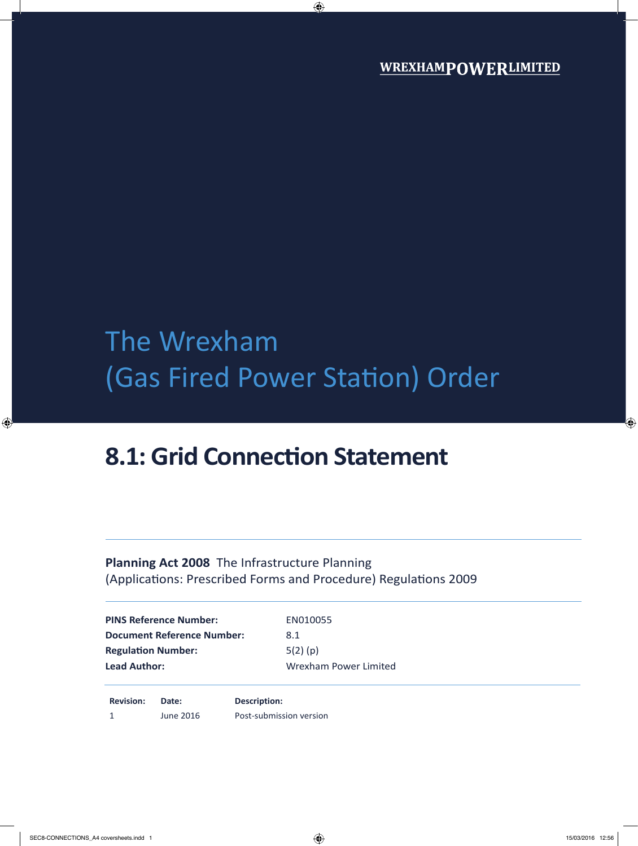## The Wrexham (Gas Fired Power Station) Order

### **8.1: Grid Connection Statement**

#### **Planning Act 2008** The Infrastructure Planning (Applications: Prescribed Forms and Procedure) Regulations 2009

| <b>PINS Reference Number:</b>     | EN010055              |
|-----------------------------------|-----------------------|
| <b>Document Reference Number:</b> | 8.1                   |
| <b>Regulation Number:</b>         | $5(2)$ (p)            |
| <b>Lead Author:</b>               | Wrexham Power Limited |
|                                   |                       |
|                                   |                       |

**Revision: Date:**  1 June 2016 **Description:** Post-submission version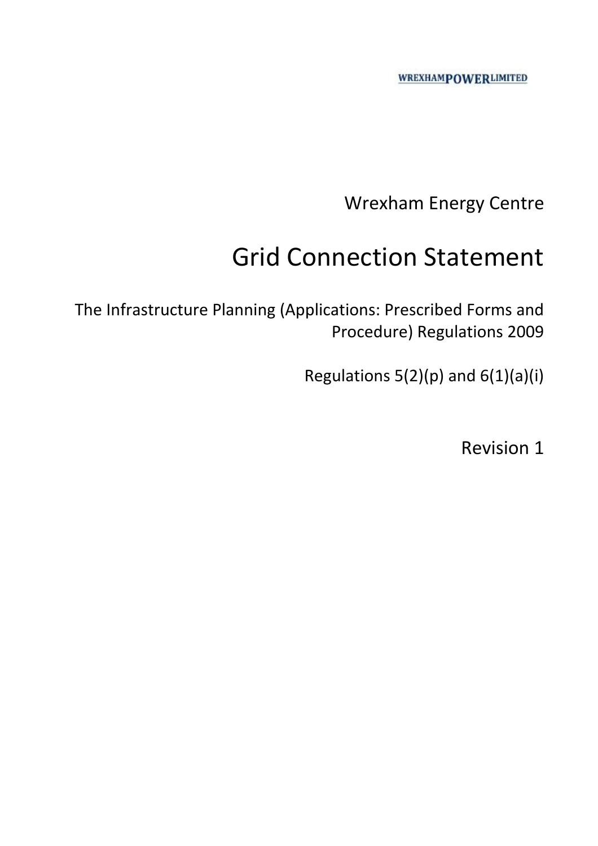Wrexham Energy Centre

## Grid Connection Statement

The Infrastructure Planning (Applications: Prescribed Forms and Procedure) Regulations 2009

Regulations  $5(2)(p)$  and  $6(1)(a)(i)$ 

Revision 1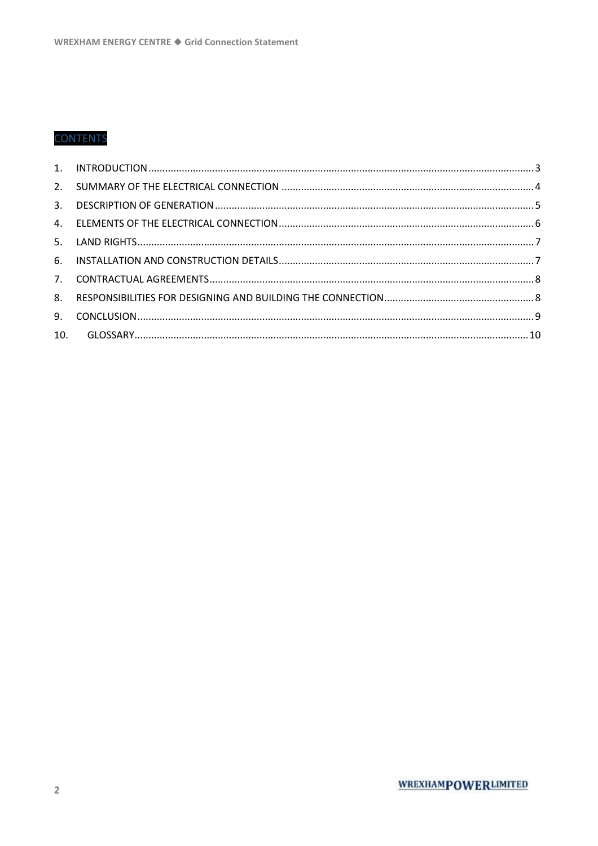#### **CONTENTS**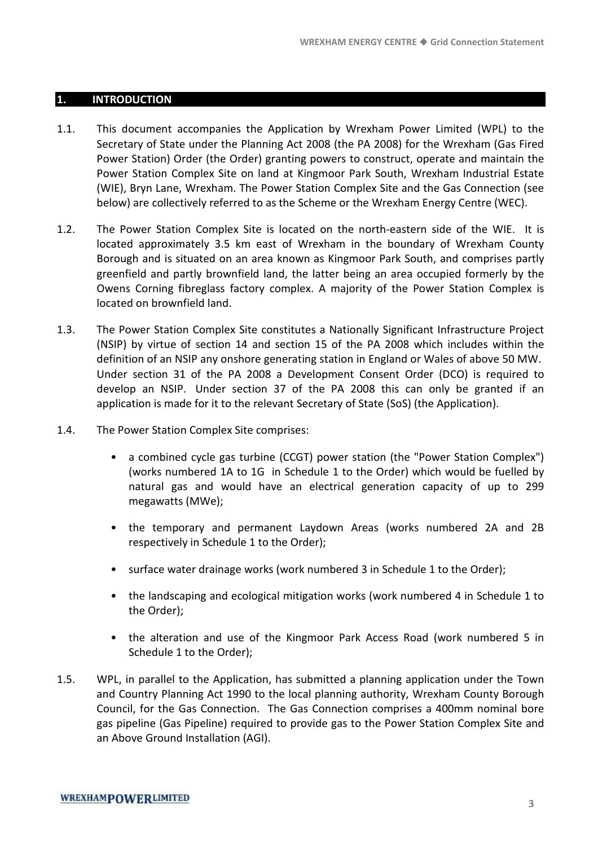#### **1. INTRODUCTION**

- 1.1. This document accompanies the Application by Wrexham Power Limited (WPL) to the Secretary of State under the Planning Act 2008 (the PA 2008) for the Wrexham (Gas Fired Power Station) Order (the Order) granting powers to construct, operate and maintain the Power Station Complex Site on land at Kingmoor Park South, Wrexham Industrial Estate (WIE), Bryn Lane, Wrexham. The Power Station Complex Site and the Gas Connection (see below) are collectively referred to as the Scheme or the Wrexham Energy Centre (WEC).
- 1.2. The Power Station Complex Site is located on the north-eastern side of the WIE. It is located approximately 3.5 km east of Wrexham in the boundary of Wrexham County Borough and is situated on an area known as Kingmoor Park South, and comprises partly greenfield and partly brownfield land, the latter being an area occupied formerly by the Owens Corning fibreglass factory complex. A majority of the Power Station Complex is located on brownfield land.
- 1.3. The Power Station Complex Site constitutes a Nationally Significant Infrastructure Project (NSIP) by virtue of section 14 and section 15 of the PA 2008 which includes within the definition of an NSIP any onshore generating station in England or Wales of above 50 MW. Under section 31 of the PA 2008 a Development Consent Order (DCO) is required to develop an NSIP. Under section 37 of the PA 2008 this can only be granted if an application is made for it to the relevant Secretary of State (SoS) (the Application).
- 1.4. The Power Station Complex Site comprises:
	- a combined cycle gas turbine (CCGT) power station (the "Power Station Complex") (works numbered 1A to 1G in Schedule 1 to the Order) which would be fuelled by natural gas and would have an electrical generation capacity of up to 299 megawatts (MWe);
	- the temporary and permanent Laydown Areas (works numbered 2A and 2B respectively in Schedule 1 to the Order);
	- surface water drainage works (work numbered 3 in Schedule 1 to the Order);
	- the landscaping and ecological mitigation works (work numbered 4 in Schedule 1 to the Order);
	- the alteration and use of the Kingmoor Park Access Road (work numbered 5 in Schedule 1 to the Order);
- 1.5. WPL, in parallel to the Application, has submitted a planning application under the Town and Country Planning Act 1990 to the local planning authority, Wrexham County Borough Council, for the Gas Connection. The Gas Connection comprises a 400mm nominal bore gas pipeline (Gas Pipeline) required to provide gas to the Power Station Complex Site and an Above Ground Installation (AGI).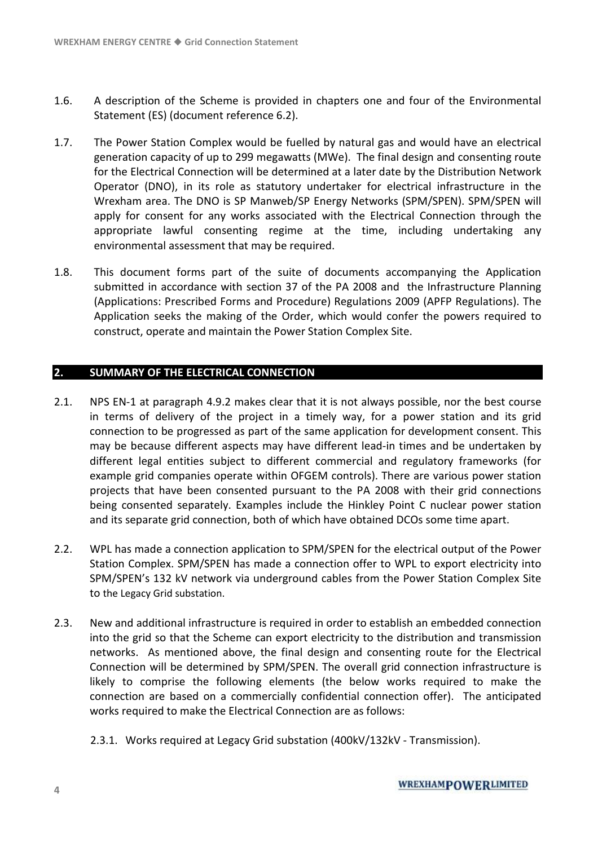- 1.6. A description of the Scheme is provided in chapters one and four of the Environmental Statement (ES) (document reference 6.2).
- 1.7. The Power Station Complex would be fuelled by natural gas and would have an electrical generation capacity of up to 299 megawatts (MWe). The final design and consenting route for the Electrical Connection will be determined at a later date by the Distribution Network Operator (DNO), in its role as statutory undertaker for electrical infrastructure in the Wrexham area. The DNO is SP Manweb/SP Energy Networks (SPM/SPEN). SPM/SPEN will apply for consent for any works associated with the Electrical Connection through the appropriate lawful consenting regime at the time, including undertaking any environmental assessment that may be required.
- 1.8. This document forms part of the suite of documents accompanying the Application submitted in accordance with section 37 of the PA 2008 and the Infrastructure Planning (Applications: Prescribed Forms and Procedure) Regulations 2009 (APFP Regulations). The Application seeks the making of the Order, which would confer the powers required to construct, operate and maintain the Power Station Complex Site.

#### **2. SUMMARY OF THE ELECTRICAL CONNECTION**

- 2.1. NPS EN-1 at paragraph 4.9.2 makes clear that it is not always possible, nor the best course in terms of delivery of the project in a timely way, for a power station and its grid connection to be progressed as part of the same application for development consent. This may be because different aspects may have different lead-in times and be undertaken by different legal entities subject to different commercial and regulatory frameworks (for example grid companies operate within OFGEM controls). There are various power station projects that have been consented pursuant to the PA 2008 with their grid connections being consented separately. Examples include the Hinkley Point C nuclear power station and its separate grid connection, both of which have obtained DCOs some time apart.
- 2.2. WPL has made a connection application to SPM/SPEN for the electrical output of the Power Station Complex. SPM/SPEN has made a connection offer to WPL to export electricity into SPM/SPEN's 132 kV network via underground cables from the Power Station Complex Site to the Legacy Grid substation.
- 2.3. New and additional infrastructure is required in order to establish an embedded connection into the grid so that the Scheme can export electricity to the distribution and transmission networks. As mentioned above, the final design and consenting route for the Electrical Connection will be determined by SPM/SPEN. The overall grid connection infrastructure is likely to comprise the following elements (the below works required to make the connection are based on a commercially confidential connection offer). The anticipated works required to make the Electrical Connection are as follows:
	- 2.3.1. Works required at Legacy Grid substation (400kV/132kV Transmission).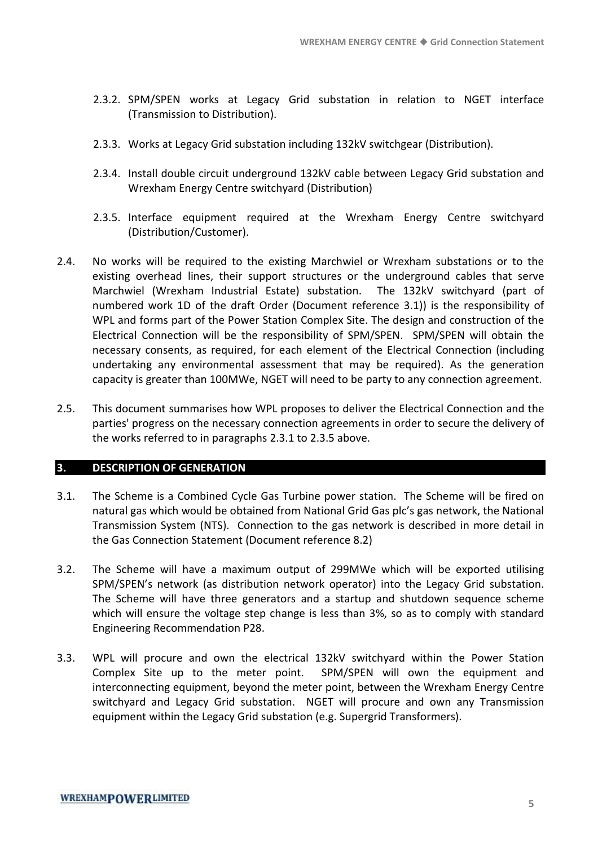- 2.3.2. SPM/SPEN works at Legacy Grid substation in relation to NGET interface (Transmission to Distribution).
- 2.3.3. Works at Legacy Grid substation including 132kV switchgear (Distribution).
- 2.3.4. Install double circuit underground 132kV cable between Legacy Grid substation and Wrexham Energy Centre switchyard (Distribution)
- 2.3.5. Interface equipment required at the Wrexham Energy Centre switchyard (Distribution/Customer).
- 2.4. No works will be required to the existing Marchwiel or Wrexham substations or to the existing overhead lines, their support structures or the underground cables that serve Marchwiel (Wrexham Industrial Estate) substation. The 132kV switchyard (part of numbered work 1D of the draft Order (Document reference 3.1)) is the responsibility of WPL and forms part of the Power Station Complex Site. The design and construction of the Electrical Connection will be the responsibility of SPM/SPEN. SPM/SPEN will obtain the necessary consents, as required, for each element of the Electrical Connection (including undertaking any environmental assessment that may be required). As the generation capacity is greater than 100MWe, NGET will need to be party to any connection agreement.
- 2.5. This document summarises how WPL proposes to deliver the Electrical Connection and the parties' progress on the necessary connection agreements in order to secure the delivery of the works referred to in paragraphs 2.3.1 to 2.3.5 above.

#### **3. DESCRIPTION OF GENERATION**

- 3.1. The Scheme is a Combined Cycle Gas Turbine power station. The Scheme will be fired on natural gas which would be obtained from National Grid Gas plc's gas network, the National Transmission System (NTS). Connection to the gas network is described in more detail in the Gas Connection Statement (Document reference 8.2)
- 3.2. The Scheme will have a maximum output of 299MWe which will be exported utilising SPM/SPEN's network (as distribution network operator) into the Legacy Grid substation. The Scheme will have three generators and a startup and shutdown sequence scheme which will ensure the voltage step change is less than 3%, so as to comply with standard Engineering Recommendation P28.
- 3.3. WPL will procure and own the electrical 132kV switchyard within the Power Station Complex Site up to the meter point. SPM/SPEN will own the equipment and interconnecting equipment, beyond the meter point, between the Wrexham Energy Centre switchyard and Legacy Grid substation. NGET will procure and own any Transmission equipment within the Legacy Grid substation (e.g. Supergrid Transformers).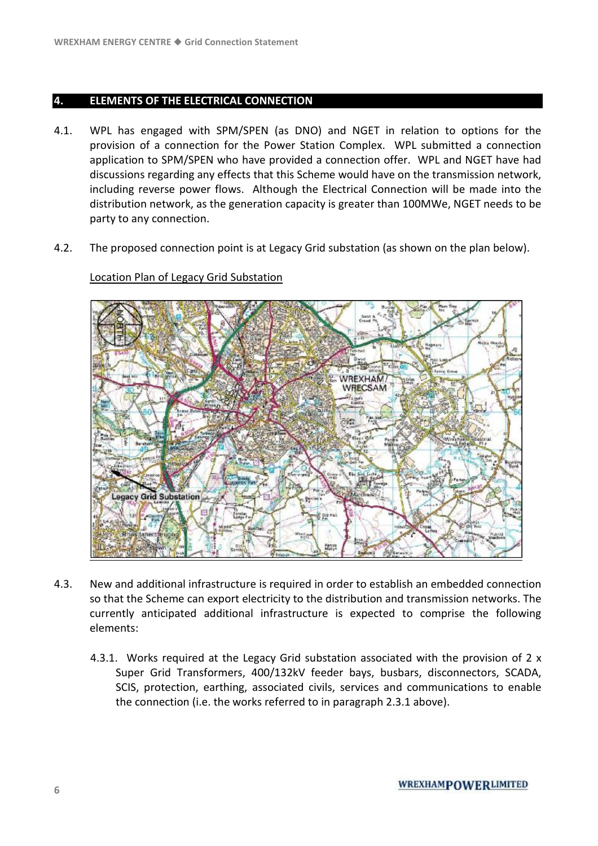#### **4. ELEMENTS OF THE ELECTRICAL CONNECTION**

- 4.1. WPL has engaged with SPM/SPEN (as DNO) and NGET in relation to options for the provision of a connection for the Power Station Complex. WPL submitted a connection application to SPM/SPEN who have provided a connection offer. WPL and NGET have had discussions regarding any effects that this Scheme would have on the transmission network, including reverse power flows. Although the Electrical Connection will be made into the distribution network, as the generation capacity is greater than 100MWe, NGET needs to be party to any connection.
- 4.2. The proposed connection point is at Legacy Grid substation (as shown on the plan below).

# **WREXHAM** WRECSAM **Legacy Grid Substation**

#### Location Plan of Legacy Grid Substation

- 4.3. New and additional infrastructure is required in order to establish an embedded connection so that the Scheme can export electricity to the distribution and transmission networks. The currently anticipated additional infrastructure is expected to comprise the following elements:
	- 4.3.1. Works required at the Legacy Grid substation associated with the provision of 2 x Super Grid Transformers, 400/132kV feeder bays, busbars, disconnectors, SCADA, SCIS, protection, earthing, associated civils, services and communications to enable the connection (i.e. the works referred to in paragraph 2.3.1 above).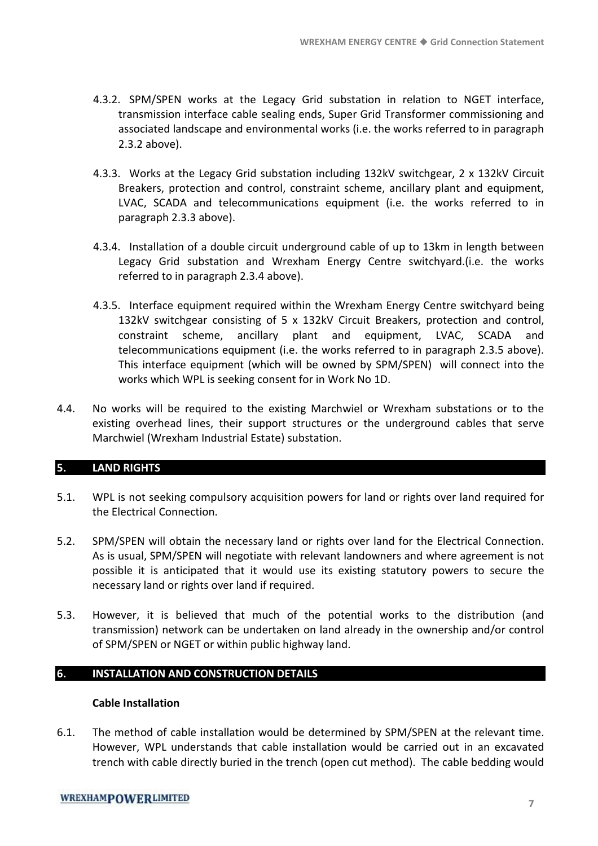- 4.3.2. SPM/SPEN works at the Legacy Grid substation in relation to NGET interface, transmission interface cable sealing ends, Super Grid Transformer commissioning and associated landscape and environmental works (i.e. the works referred to in paragraph 2.3.2 above).
- 4.3.3. Works at the Legacy Grid substation including 132kV switchgear, 2 x 132kV Circuit Breakers, protection and control, constraint scheme, ancillary plant and equipment, LVAC, SCADA and telecommunications equipment (i.e. the works referred to in paragraph 2.3.3 above).
- 4.3.4. Installation of a double circuit underground cable of up to 13km in length between Legacy Grid substation and Wrexham Energy Centre switchyard.(i.e. the works referred to in paragraph 2.3.4 above).
- 4.3.5. Interface equipment required within the Wrexham Energy Centre switchyard being 132kV switchgear consisting of 5 x 132kV Circuit Breakers, protection and control, constraint scheme, ancillary plant and equipment, LVAC, SCADA and telecommunications equipment (i.e. the works referred to in paragraph 2.3.5 above). This interface equipment (which will be owned by SPM/SPEN) will connect into the works which WPL is seeking consent for in Work No 1D.
- 4.4. No works will be required to the existing Marchwiel or Wrexham substations or to the existing overhead lines, their support structures or the underground cables that serve Marchwiel (Wrexham Industrial Estate) substation.

#### **5. LAND RIGHTS**

- 5.1. WPL is not seeking compulsory acquisition powers for land or rights over land required for the Electrical Connection.
- 5.2. SPM/SPEN will obtain the necessary land or rights over land for the Electrical Connection. As is usual, SPM/SPEN will negotiate with relevant landowners and where agreement is not possible it is anticipated that it would use its existing statutory powers to secure the necessary land or rights over land if required.
- 5.3. However, it is believed that much of the potential works to the distribution (and transmission) network can be undertaken on land already in the ownership and/or control of SPM/SPEN or NGET or within public highway land.

#### **6. INSTALLATION AND CONSTRUCTION DETAILS**

#### **Cable Installation**

6.1. The method of cable installation would be determined by SPM/SPEN at the relevant time. However, WPL understands that cable installation would be carried out in an excavated trench with cable directly buried in the trench (open cut method). The cable bedding would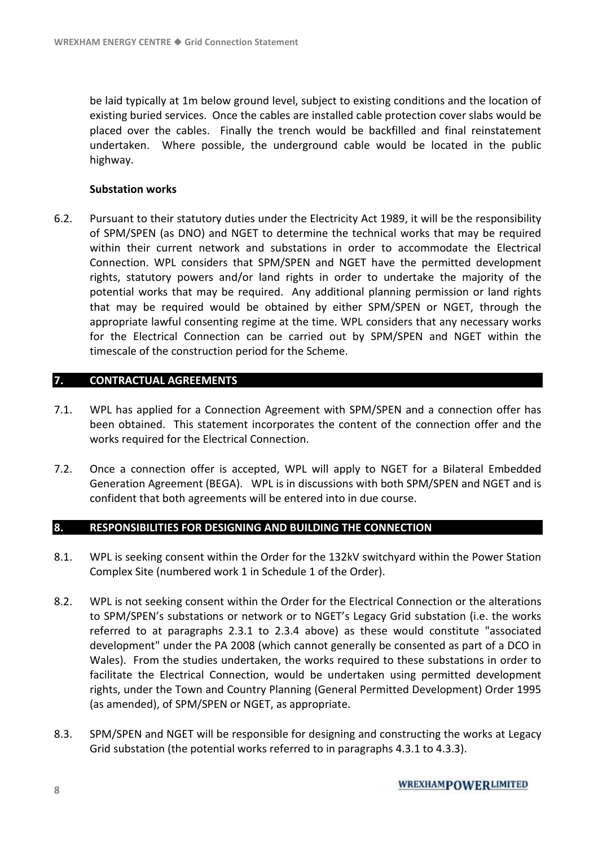be laid typically at 1m below ground level, subject to existing conditions and the location of existing buried services. Once the cables are installed cable protection cover slabs would be placed over the cables. Finally the trench would be backfilled and final reinstatement undertaken. Where possible, the underground cable would be located in the public highway.

#### **Substation works**

6.2. Pursuant to their statutory duties under the Electricity Act 1989, it will be the responsibility of SPM/SPEN (as DNO) and NGET to determine the technical works that may be required within their current network and substations in order to accommodate the Electrical Connection. WPL considers that SPM/SPEN and NGET have the permitted development rights, statutory powers and/or land rights in order to undertake the majority of the potential works that may be required. Any additional planning permission or land rights that may be required would be obtained by either SPM/SPEN or NGET, through the appropriate lawful consenting regime at the time. WPL considers that any necessary works for the Electrical Connection can be carried out by SPM/SPEN and NGET within the timescale of the construction period for the Scheme.

#### **7. CONTRACTUAL AGREEMENTS**

- 7.1. WPL has applied for a Connection Agreement with SPM/SPEN and a connection offer has been obtained. This statement incorporates the content of the connection offer and the works required for the Electrical Connection.
- 7.2. Once a connection offer is accepted, WPL will apply to NGET for a Bilateral Embedded Generation Agreement (BEGA). WPL is in discussions with both SPM/SPEN and NGET and is confident that both agreements will be entered into in due course.

#### **8. RESPONSIBILITIES FOR DESIGNING AND BUILDING THE CONNECTION**

- 8.1. WPL is seeking consent within the Order for the 132kV switchyard within the Power Station Complex Site (numbered work 1 in Schedule 1 of the Order).
- 8.2. WPL is not seeking consent within the Order for the Electrical Connection or the alterations to SPM/SPEN's substations or network or to NGET's Legacy Grid substation (i.e. the works referred to at paragraphs 2.3.1 to 2.3.4 above) as these would constitute "associated development" under the PA 2008 (which cannot generally be consented as part of a DCO in Wales). From the studies undertaken, the works required to these substations in order to facilitate the Electrical Connection, would be undertaken using permitted development rights, under the Town and Country Planning (General Permitted Development) Order 1995 (as amended), of SPM/SPEN or NGET, as appropriate.
- 8.3. SPM/SPEN and NGET will be responsible for designing and constructing the works at Legacy Grid substation (the potential works referred to in paragraphs 4.3.1 to 4.3.3).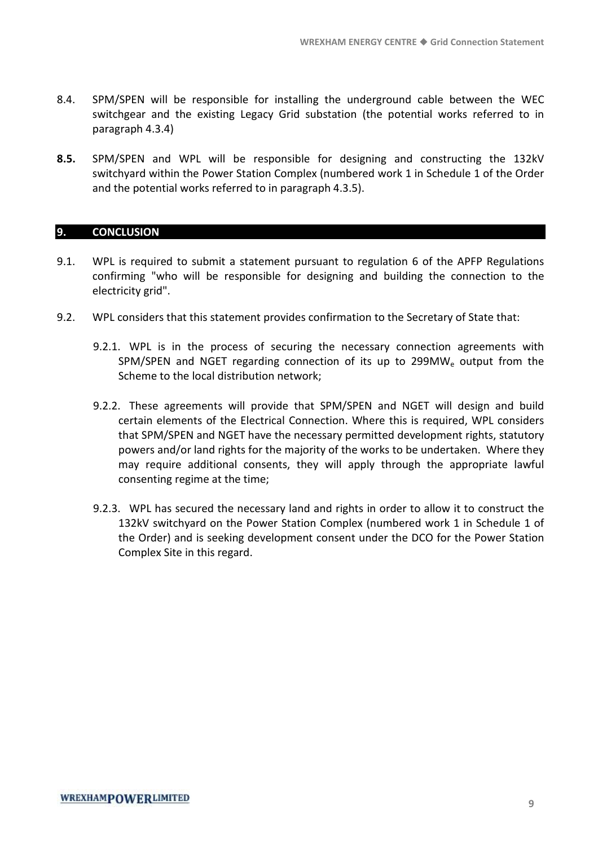- 8.4. SPM/SPEN will be responsible for installing the underground cable between the WEC switchgear and the existing Legacy Grid substation (the potential works referred to in paragraph 4.3.4)
- **8.5.** SPM/SPEN and WPL will be responsible for designing and constructing the 132kV switchyard within the Power Station Complex (numbered work 1 in Schedule 1 of the Order and the potential works referred to in paragraph 4.3.5).

#### **9. CONCLUSION**

- 9.1. WPL is required to submit a statement pursuant to regulation 6 of the APFP Regulations confirming "who will be responsible for designing and building the connection to the electricity grid".
- 9.2. WPL considers that this statement provides confirmation to the Secretary of State that:
	- 9.2.1. WPL is in the process of securing the necessary connection agreements with SPM/SPEN and NGET regarding connection of its up to 299MW<sub>e</sub> output from the Scheme to the local distribution network;
	- 9.2.2. These agreements will provide that SPM/SPEN and NGET will design and build certain elements of the Electrical Connection. Where this is required, WPL considers that SPM/SPEN and NGET have the necessary permitted development rights, statutory powers and/or land rights for the majority of the works to be undertaken. Where they may require additional consents, they will apply through the appropriate lawful consenting regime at the time;
	- 9.2.3. WPL has secured the necessary land and rights in order to allow it to construct the 132kV switchyard on the Power Station Complex (numbered work 1 in Schedule 1 of the Order) and is seeking development consent under the DCO for the Power Station Complex Site in this regard.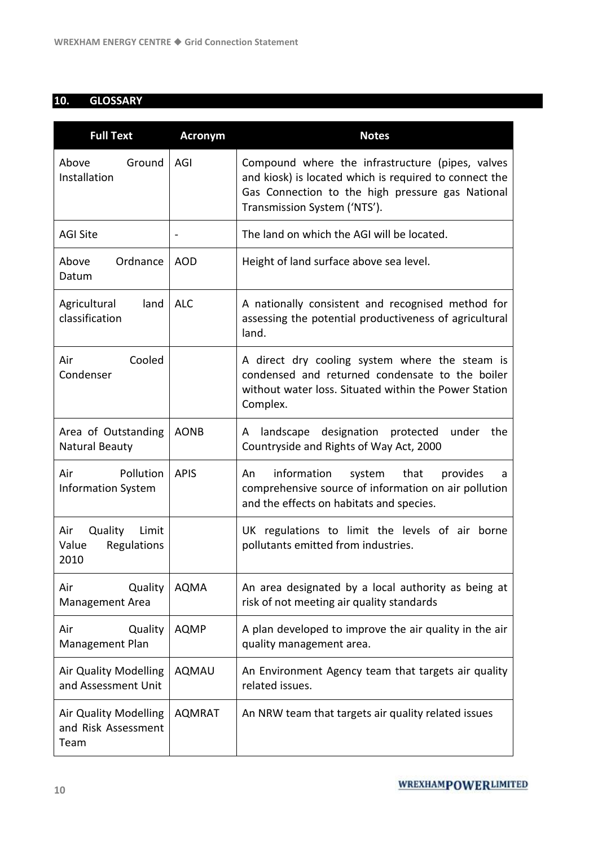#### **10. GLOSSARY**

| <b>Full Text</b>                                        | <b>Acronym</b> | <b>Notes</b>                                                                                                                                                                                   |
|---------------------------------------------------------|----------------|------------------------------------------------------------------------------------------------------------------------------------------------------------------------------------------------|
| Ground<br>Above<br>Installation                         | AGI            | Compound where the infrastructure (pipes, valves<br>and kiosk) is located which is required to connect the<br>Gas Connection to the high pressure gas National<br>Transmission System ('NTS'). |
| <b>AGI Site</b>                                         |                | The land on which the AGI will be located.                                                                                                                                                     |
| Ordnance<br>Above<br>Datum                              | <b>AOD</b>     | Height of land surface above sea level.                                                                                                                                                        |
| Agricultural<br>land<br>classification                  | <b>ALC</b>     | A nationally consistent and recognised method for<br>assessing the potential productiveness of agricultural<br>land.                                                                           |
| Cooled<br>Air<br>Condenser                              |                | A direct dry cooling system where the steam is<br>condensed and returned condensate to the boiler<br>without water loss. Situated within the Power Station<br>Complex.                         |
| Area of Outstanding<br>Natural Beauty                   | <b>AONB</b>    | landscape designation protected<br>under<br>the<br>A<br>Countryside and Rights of Way Act, 2000                                                                                                |
| Air<br>Pollution<br><b>Information System</b>           | <b>APIS</b>    | information<br>system that<br>provides<br>An<br>a<br>comprehensive source of information on air pollution<br>and the effects on habitats and species.                                          |
| Quality<br>Limit<br>Air<br>Value<br>Regulations<br>2010 |                | UK regulations to limit the levels of air borne<br>pollutants emitted from industries.                                                                                                         |
| Quality<br>Air<br><b>Management Area</b>                | <b>AQMA</b>    | An area designated by a local authority as being at<br>risk of not meeting air quality standards                                                                                               |
| Quality<br>Air<br>Management Plan                       | <b>AQMP</b>    | A plan developed to improve the air quality in the air<br>quality management area.                                                                                                             |
| Air Quality Modelling<br>and Assessment Unit            | <b>AQMAU</b>   | An Environment Agency team that targets air quality<br>related issues.                                                                                                                         |
| Air Quality Modelling<br>and Risk Assessment<br>Team    | <b>AQMRAT</b>  | An NRW team that targets air quality related issues                                                                                                                                            |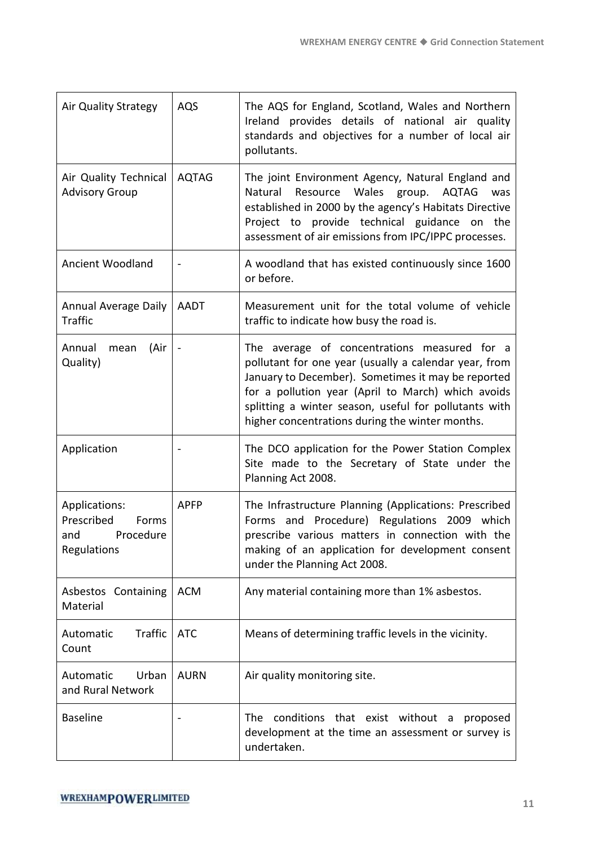| <b>Air Quality Strategy</b>                                             | AQS          | The AQS for England, Scotland, Wales and Northern<br>Ireland provides details of national air quality<br>standards and objectives for a number of local air<br>pollutants.                                                                                                                                                    |
|-------------------------------------------------------------------------|--------------|-------------------------------------------------------------------------------------------------------------------------------------------------------------------------------------------------------------------------------------------------------------------------------------------------------------------------------|
| Air Quality Technical<br><b>Advisory Group</b>                          | <b>AQTAG</b> | The joint Environment Agency, Natural England and<br>Wales<br>Natural<br>Resource<br><b>AQTAG</b><br>group.<br>was<br>established in 2000 by the agency's Habitats Directive<br>Project to provide technical guidance on the<br>assessment of air emissions from IPC/IPPC processes.                                          |
| <b>Ancient Woodland</b>                                                 |              | A woodland that has existed continuously since 1600<br>or before.                                                                                                                                                                                                                                                             |
| <b>Annual Average Daily</b><br><b>Traffic</b>                           | <b>AADT</b>  | Measurement unit for the total volume of vehicle<br>traffic to indicate how busy the road is.                                                                                                                                                                                                                                 |
| (Air<br>Annual<br>mean<br>Quality)                                      |              | The average of concentrations measured for a<br>pollutant for one year (usually a calendar year, from<br>January to December). Sometimes it may be reported<br>for a pollution year (April to March) which avoids<br>splitting a winter season, useful for pollutants with<br>higher concentrations during the winter months. |
| Application                                                             |              | The DCO application for the Power Station Complex<br>Site made to the Secretary of State under the<br>Planning Act 2008.                                                                                                                                                                                                      |
| Applications:<br>Prescribed<br>Forms<br>Procedure<br>and<br>Regulations | <b>APFP</b>  | The Infrastructure Planning (Applications: Prescribed<br>Forms and Procedure) Regulations 2009 which<br>prescribe various matters in connection with the<br>making of an application for development consent<br>under the Planning Act 2008.                                                                                  |
| Asbestos Containing<br>Material                                         | <b>ACM</b>   | Any material containing more than 1% asbestos.                                                                                                                                                                                                                                                                                |
| Traffic<br>Automatic<br>Count                                           | <b>ATC</b>   | Means of determining traffic levels in the vicinity.                                                                                                                                                                                                                                                                          |
| Automatic<br>Urban<br>and Rural Network                                 | <b>AURN</b>  | Air quality monitoring site.                                                                                                                                                                                                                                                                                                  |
| <b>Baseline</b>                                                         |              | conditions that exist without<br><b>The</b><br>proposed<br>a<br>development at the time an assessment or survey is<br>undertaken.                                                                                                                                                                                             |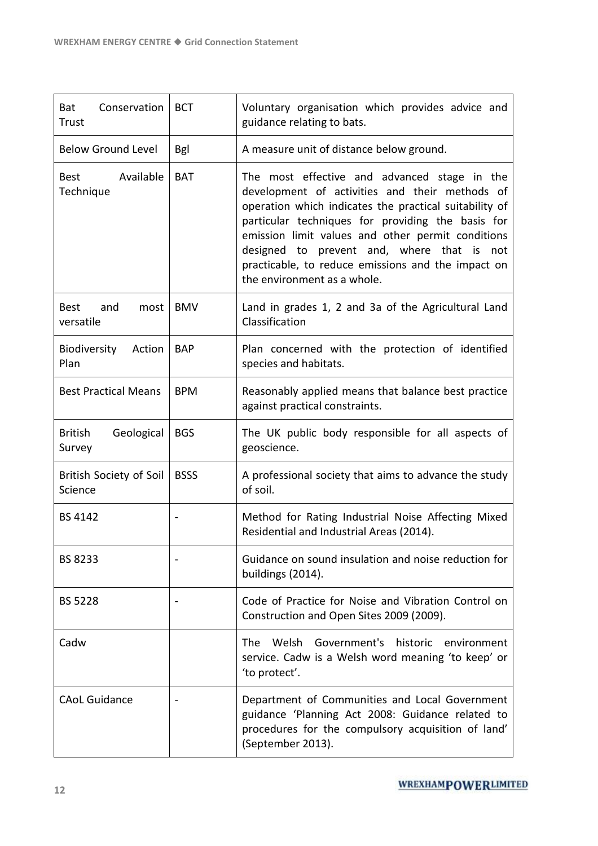| Conservation<br>Bat<br>Trust            | <b>BCT</b>  | Voluntary organisation which provides advice and<br>guidance relating to bats.                                                                                                                                                                                                                                                                                                                        |
|-----------------------------------------|-------------|-------------------------------------------------------------------------------------------------------------------------------------------------------------------------------------------------------------------------------------------------------------------------------------------------------------------------------------------------------------------------------------------------------|
| <b>Below Ground Level</b>               | <b>Bgl</b>  | A measure unit of distance below ground.                                                                                                                                                                                                                                                                                                                                                              |
| Available<br>Best<br>Technique          | <b>BAT</b>  | The most effective and advanced stage in the<br>development of activities and their methods of<br>operation which indicates the practical suitability of<br>particular techniques for providing the basis for<br>emission limit values and other permit conditions<br>designed to prevent and, where that is not<br>practicable, to reduce emissions and the impact on<br>the environment as a whole. |
| and<br><b>Best</b><br>most<br>versatile | <b>BMV</b>  | Land in grades 1, 2 and 3a of the Agricultural Land<br>Classification                                                                                                                                                                                                                                                                                                                                 |
| Biodiversity<br>Action<br>Plan          | <b>BAP</b>  | Plan concerned with the protection of identified<br>species and habitats.                                                                                                                                                                                                                                                                                                                             |
| <b>Best Practical Means</b>             | <b>BPM</b>  | Reasonably applied means that balance best practice<br>against practical constraints.                                                                                                                                                                                                                                                                                                                 |
| <b>British</b><br>Geological<br>Survey  | <b>BGS</b>  | The UK public body responsible for all aspects of<br>geoscience.                                                                                                                                                                                                                                                                                                                                      |
| British Society of Soil<br>Science      | <b>BSSS</b> | A professional society that aims to advance the study<br>of soil.                                                                                                                                                                                                                                                                                                                                     |
| <b>BS 4142</b>                          |             | Method for Rating Industrial Noise Affecting Mixed<br>Residential and Industrial Areas (2014).                                                                                                                                                                                                                                                                                                        |
| <b>BS 8233</b>                          |             | Guidance on sound insulation and noise reduction for<br>buildings (2014).                                                                                                                                                                                                                                                                                                                             |
| <b>BS 5228</b>                          |             | Code of Practice for Noise and Vibration Control on<br>Construction and Open Sites 2009 (2009).                                                                                                                                                                                                                                                                                                       |
| Cadw                                    |             | Welsh<br>Government's<br>historic<br>The .<br>environment<br>service. Cadw is a Welsh word meaning 'to keep' or<br>'to protect'.                                                                                                                                                                                                                                                                      |
| <b>CAoL Guidance</b>                    |             | Department of Communities and Local Government<br>guidance 'Planning Act 2008: Guidance related to<br>procedures for the compulsory acquisition of land'<br>(September 2013).                                                                                                                                                                                                                         |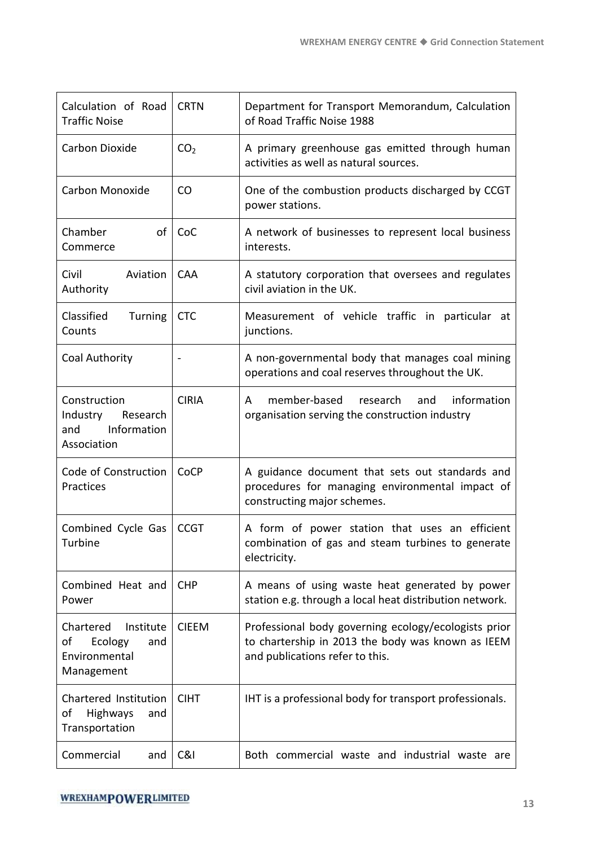| Calculation of Road<br><b>Traffic Noise</b>                                   | <b>CRTN</b>     | Department for Transport Memorandum, Calculation<br>of Road Traffic Noise 1988                                                               |
|-------------------------------------------------------------------------------|-----------------|----------------------------------------------------------------------------------------------------------------------------------------------|
| Carbon Dioxide                                                                | CO <sub>2</sub> | A primary greenhouse gas emitted through human<br>activities as well as natural sources.                                                     |
| Carbon Monoxide                                                               | CO              | One of the combustion products discharged by CCGT<br>power stations.                                                                         |
| Chamber<br>of<br>Commerce                                                     | CoC             | A network of businesses to represent local business<br>interests.                                                                            |
| Civil<br>Aviation<br>Authority                                                | <b>CAA</b>      | A statutory corporation that oversees and regulates<br>civil aviation in the UK.                                                             |
| Classified<br>Turning<br>Counts                                               | <b>CTC</b>      | Measurement of vehicle traffic in particular at<br>junctions.                                                                                |
| Coal Authority                                                                |                 | A non-governmental body that manages coal mining<br>operations and coal reserves throughout the UK.                                          |
| Construction<br>Industry<br>Research<br>Information<br>and<br>Association     | <b>CIRIA</b>    | member-based research<br>information<br>and<br>A<br>organisation serving the construction industry                                           |
| Code of Construction<br>Practices                                             | CoCP            | A guidance document that sets out standards and<br>procedures for managing environmental impact of<br>constructing major schemes.            |
| Combined Cycle Gas<br>Turbine                                                 | <b>CCGT</b>     | A form of power station that uses an efficient<br>combination of gas and steam turbines to generate<br>electricity.                          |
| Combined Heat and<br>Power                                                    | <b>CHP</b>      | A means of using waste heat generated by power<br>station e.g. through a local heat distribution network.                                    |
| Chartered<br>Institute<br>оf<br>Ecology<br>and<br>Environmental<br>Management | <b>CIEEM</b>    | Professional body governing ecology/ecologists prior<br>to chartership in 2013 the body was known as IEEM<br>and publications refer to this. |
| Chartered Institution<br>оf<br>Highways<br>and<br>Transportation              | <b>CIHT</b>     | IHT is a professional body for transport professionals.                                                                                      |
| Commercial<br>and                                                             | C&l             | Both commercial waste and industrial waste are                                                                                               |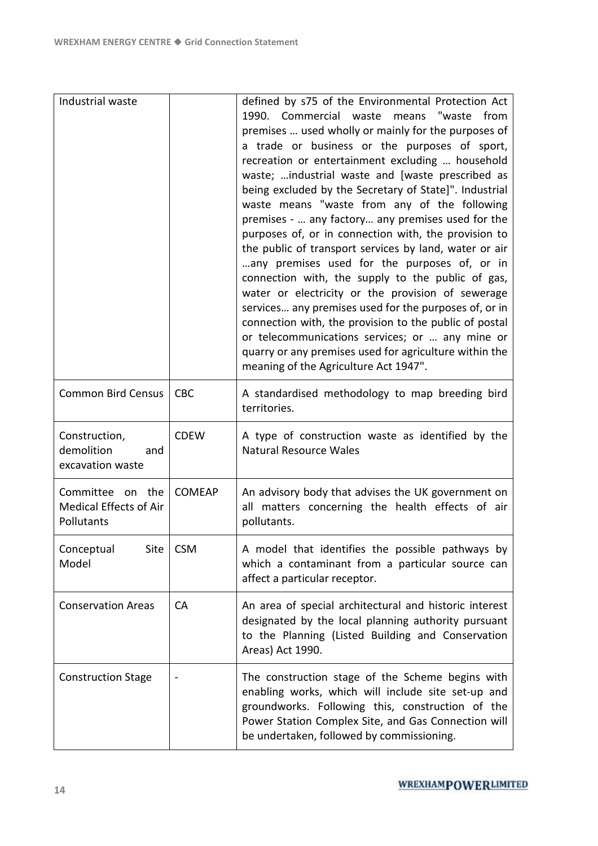| Industrial waste                                                      |               | defined by s75 of the Environmental Protection Act<br>1990.<br>Commercial waste<br>"waste<br>means<br>from<br>premises  used wholly or mainly for the purposes of<br>a trade or business or the purposes of sport,<br>recreation or entertainment excluding  household<br>waste;  industrial waste and [waste prescribed as<br>being excluded by the Secretary of State]". Industrial<br>waste means "waste from any of the following<br>premises -  any factory any premises used for the<br>purposes of, or in connection with, the provision to<br>the public of transport services by land, water or air<br>any premises used for the purposes of, or in<br>connection with, the supply to the public of gas,<br>water or electricity or the provision of sewerage<br>services any premises used for the purposes of, or in<br>connection with, the provision to the public of postal<br>or telecommunications services; or  any mine or<br>quarry or any premises used for agriculture within the<br>meaning of the Agriculture Act 1947". |
|-----------------------------------------------------------------------|---------------|-------------------------------------------------------------------------------------------------------------------------------------------------------------------------------------------------------------------------------------------------------------------------------------------------------------------------------------------------------------------------------------------------------------------------------------------------------------------------------------------------------------------------------------------------------------------------------------------------------------------------------------------------------------------------------------------------------------------------------------------------------------------------------------------------------------------------------------------------------------------------------------------------------------------------------------------------------------------------------------------------------------------------------------------------|
| <b>Common Bird Census</b>                                             | <b>CBC</b>    | A standardised methodology to map breeding bird<br>territories.                                                                                                                                                                                                                                                                                                                                                                                                                                                                                                                                                                                                                                                                                                                                                                                                                                                                                                                                                                                 |
| Construction,<br>demolition<br>and<br>excavation waste                | <b>CDEW</b>   | A type of construction waste as identified by the<br><b>Natural Resource Wales</b>                                                                                                                                                                                                                                                                                                                                                                                                                                                                                                                                                                                                                                                                                                                                                                                                                                                                                                                                                              |
| Committee<br>the<br>on<br><b>Medical Effects of Air</b><br>Pollutants | <b>COMEAP</b> | An advisory body that advises the UK government on<br>all matters concerning the health effects of air<br>pollutants.                                                                                                                                                                                                                                                                                                                                                                                                                                                                                                                                                                                                                                                                                                                                                                                                                                                                                                                           |
| Conceptual<br>Site<br>Model                                           | <b>CSM</b>    | A model that identifies the possible pathways by<br>which a contaminant from a particular source can<br>affect a particular receptor.                                                                                                                                                                                                                                                                                                                                                                                                                                                                                                                                                                                                                                                                                                                                                                                                                                                                                                           |
| <b>Conservation Areas</b>                                             | CA            | An area of special architectural and historic interest<br>designated by the local planning authority pursuant<br>to the Planning (Listed Building and Conservation<br>Areas) Act 1990.                                                                                                                                                                                                                                                                                                                                                                                                                                                                                                                                                                                                                                                                                                                                                                                                                                                          |
| <b>Construction Stage</b>                                             |               | The construction stage of the Scheme begins with<br>enabling works, which will include site set-up and<br>groundworks. Following this, construction of the<br>Power Station Complex Site, and Gas Connection will<br>be undertaken, followed by commissioning.                                                                                                                                                                                                                                                                                                                                                                                                                                                                                                                                                                                                                                                                                                                                                                                  |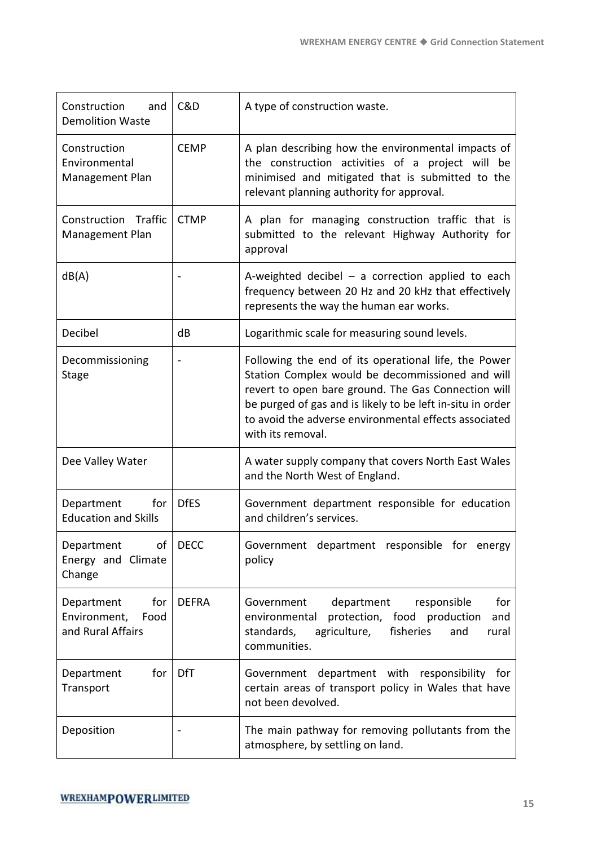| Construction<br>and<br><b>Demolition Waste</b>                 | C&D          | A type of construction waste.                                                                                                                                                                                                                                                                               |
|----------------------------------------------------------------|--------------|-------------------------------------------------------------------------------------------------------------------------------------------------------------------------------------------------------------------------------------------------------------------------------------------------------------|
| Construction<br>Environmental<br>Management Plan               | <b>CEMP</b>  | A plan describing how the environmental impacts of<br>the construction activities of a project will be<br>minimised and mitigated that is submitted to the<br>relevant planning authority for approval.                                                                                                     |
| Construction Traffic<br><b>Management Plan</b>                 | <b>CTMP</b>  | A plan for managing construction traffic that is<br>submitted to the relevant Highway Authority for<br>approval                                                                                                                                                                                             |
| dB(A)                                                          |              | A-weighted decibel $-$ a correction applied to each<br>frequency between 20 Hz and 20 kHz that effectively<br>represents the way the human ear works.                                                                                                                                                       |
| Decibel                                                        | dB           | Logarithmic scale for measuring sound levels.                                                                                                                                                                                                                                                               |
| Decommissioning<br>Stage                                       |              | Following the end of its operational life, the Power<br>Station Complex would be decommissioned and will<br>revert to open bare ground. The Gas Connection will<br>be purged of gas and is likely to be left in-situ in order<br>to avoid the adverse environmental effects associated<br>with its removal. |
| Dee Valley Water                                               |              | A water supply company that covers North East Wales<br>and the North West of England.                                                                                                                                                                                                                       |
| Department<br>for<br><b>Education and Skills</b>               | <b>DfES</b>  | Government department responsible for education<br>and children's services.                                                                                                                                                                                                                                 |
| of<br>Department<br>Energy and Climate<br>Change               | <b>DECC</b>  | Government department responsible for energy<br>policy                                                                                                                                                                                                                                                      |
| for<br>Department<br>Environment,<br>Food<br>and Rural Affairs | <b>DEFRA</b> | Government<br>department<br>responsible<br>for<br>protection, food production<br>environmental<br>and<br>standards,<br>agriculture,<br>fisheries<br>and<br>rural<br>communities.                                                                                                                            |
| for<br>Department<br>Transport                                 | DfT          | department with responsibility for<br>Government<br>certain areas of transport policy in Wales that have<br>not been devolved.                                                                                                                                                                              |
| Deposition                                                     |              | The main pathway for removing pollutants from the<br>atmosphere, by settling on land.                                                                                                                                                                                                                       |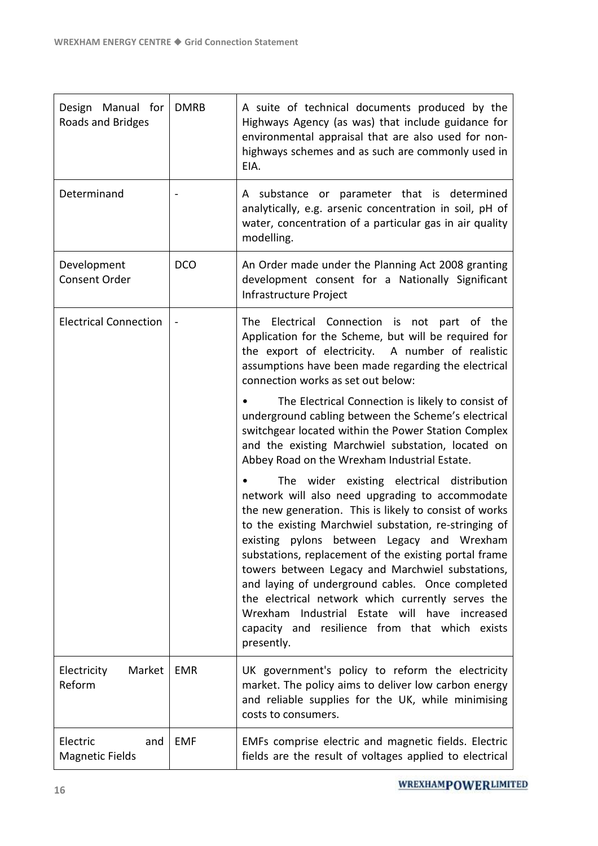| Design Manual for<br>Roads and Bridges    | <b>DMRB</b> | A suite of technical documents produced by the<br>Highways Agency (as was) that include guidance for<br>environmental appraisal that are also used for non-<br>highways schemes and as such are commonly used in<br>EIA.                                                                                                                                                                                                                                                                                                                                                                              |
|-------------------------------------------|-------------|-------------------------------------------------------------------------------------------------------------------------------------------------------------------------------------------------------------------------------------------------------------------------------------------------------------------------------------------------------------------------------------------------------------------------------------------------------------------------------------------------------------------------------------------------------------------------------------------------------|
| Determinand                               |             | A substance or parameter that is determined<br>analytically, e.g. arsenic concentration in soil, pH of<br>water, concentration of a particular gas in air quality<br>modelling.                                                                                                                                                                                                                                                                                                                                                                                                                       |
| Development<br>Consent Order              | <b>DCO</b>  | An Order made under the Planning Act 2008 granting<br>development consent for a Nationally Significant<br>Infrastructure Project                                                                                                                                                                                                                                                                                                                                                                                                                                                                      |
| <b>Electrical Connection</b>              |             | Electrical Connection is not part of the<br>The<br>Application for the Scheme, but will be required for<br>the export of electricity. A number of realistic<br>assumptions have been made regarding the electrical<br>connection works as set out below:                                                                                                                                                                                                                                                                                                                                              |
|                                           |             | The Electrical Connection is likely to consist of<br>underground cabling between the Scheme's electrical<br>switchgear located within the Power Station Complex<br>and the existing Marchwiel substation, located on<br>Abbey Road on the Wrexham Industrial Estate.                                                                                                                                                                                                                                                                                                                                  |
|                                           |             | The wider existing electrical distribution<br>network will also need upgrading to accommodate<br>the new generation. This is likely to consist of works<br>to the existing Marchwiel substation, re-stringing of<br>existing pylons between Legacy and Wrexham<br>substations, replacement of the existing portal frame<br>towers between Legacy and Marchwiel substations,<br>and laying of underground cables. Once completed<br>the electrical network which currently serves the<br>Wrexham Industrial Estate will have increased<br>capacity and resilience from that which exists<br>presently. |
| Electricity<br>Market<br>Reform           | <b>EMR</b>  | UK government's policy to reform the electricity<br>market. The policy aims to deliver low carbon energy<br>and reliable supplies for the UK, while minimising<br>costs to consumers.                                                                                                                                                                                                                                                                                                                                                                                                                 |
| Electric<br>and<br><b>Magnetic Fields</b> | <b>EMF</b>  | EMFs comprise electric and magnetic fields. Electric<br>fields are the result of voltages applied to electrical                                                                                                                                                                                                                                                                                                                                                                                                                                                                                       |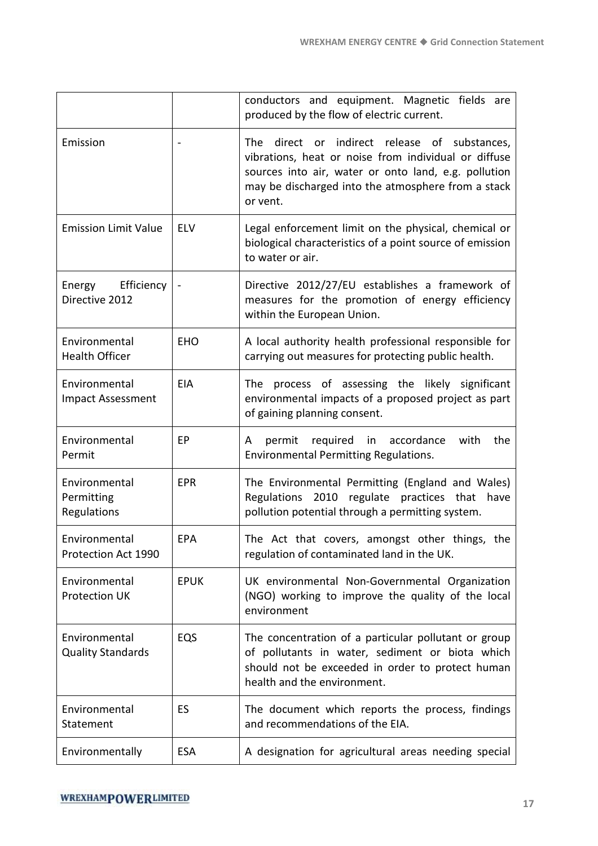|                                            |             | conductors and equipment. Magnetic fields are<br>produced by the flow of electric current.                                                                                                                                         |
|--------------------------------------------|-------------|------------------------------------------------------------------------------------------------------------------------------------------------------------------------------------------------------------------------------------|
| Emission                                   |             | direct or indirect release of substances,<br>The<br>vibrations, heat or noise from individual or diffuse<br>sources into air, water or onto land, e.g. pollution<br>may be discharged into the atmosphere from a stack<br>or vent. |
| <b>Emission Limit Value</b>                | <b>ELV</b>  | Legal enforcement limit on the physical, chemical or<br>biological characteristics of a point source of emission<br>to water or air.                                                                                               |
| Energy Efficiency<br>Directive 2012        |             | Directive 2012/27/EU establishes a framework of<br>measures for the promotion of energy efficiency<br>within the European Union.                                                                                                   |
| Environmental<br><b>Health Officer</b>     | <b>EHO</b>  | A local authority health professional responsible for<br>carrying out measures for protecting public health.                                                                                                                       |
| Environmental<br><b>Impact Assessment</b>  | <b>EIA</b>  | The process of assessing the likely significant<br>environmental impacts of a proposed project as part<br>of gaining planning consent.                                                                                             |
| Environmental<br>Permit                    | EP          | permit required<br>in accordance<br>with<br>the<br>A<br>Environmental Permitting Regulations.                                                                                                                                      |
| Environmental<br>Permitting<br>Regulations | <b>EPR</b>  | The Environmental Permitting (England and Wales)<br>Regulations 2010 regulate practices that have<br>pollution potential through a permitting system.                                                                              |
| Environmental<br>Protection Act 1990       | EPA         | The Act that covers, amongst other things, the<br>regulation of contaminated land in the UK.                                                                                                                                       |
| Environmental<br><b>Protection UK</b>      | <b>EPUK</b> | UK environmental Non-Governmental Organization<br>(NGO) working to improve the quality of the local<br>environment                                                                                                                 |
| Environmental<br><b>Quality Standards</b>  | EQS         | The concentration of a particular pollutant or group<br>of pollutants in water, sediment or biota which<br>should not be exceeded in order to protect human<br>health and the environment.                                         |
| Environmental<br>Statement                 | ES          | The document which reports the process, findings<br>and recommendations of the EIA.                                                                                                                                                |
| Environmentally                            | <b>ESA</b>  | A designation for agricultural areas needing special                                                                                                                                                                               |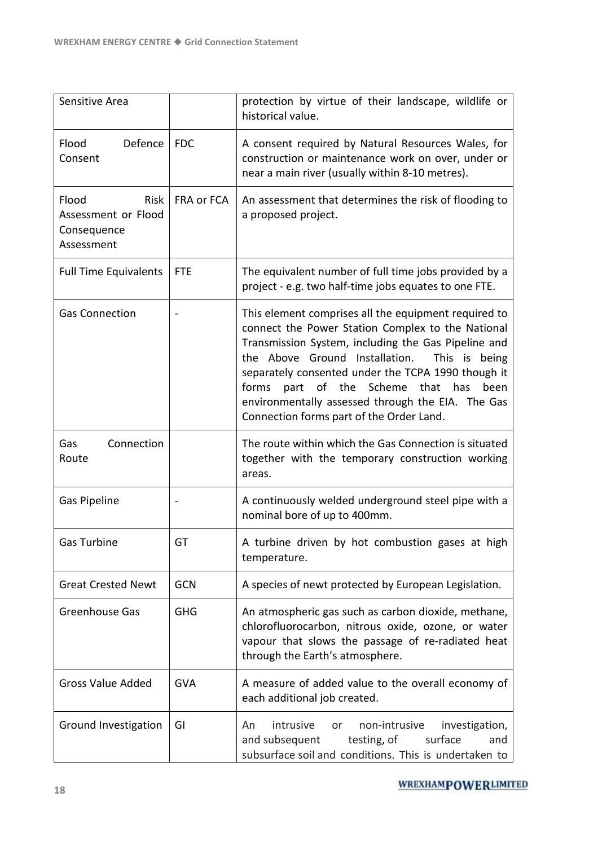| Sensitive Area                                                           |            | protection by virtue of their landscape, wildlife or<br>historical value.                                                                                                                                                                                                                                                                                                                                                     |
|--------------------------------------------------------------------------|------------|-------------------------------------------------------------------------------------------------------------------------------------------------------------------------------------------------------------------------------------------------------------------------------------------------------------------------------------------------------------------------------------------------------------------------------|
| Flood<br>Defence<br>Consent                                              | <b>FDC</b> | A consent required by Natural Resources Wales, for<br>construction or maintenance work on over, under or<br>near a main river (usually within 8-10 metres).                                                                                                                                                                                                                                                                   |
| Flood<br><b>Risk</b><br>Assessment or Flood<br>Consequence<br>Assessment | FRA or FCA | An assessment that determines the risk of flooding to<br>a proposed project.                                                                                                                                                                                                                                                                                                                                                  |
| <b>Full Time Equivalents</b>                                             | <b>FTE</b> | The equivalent number of full time jobs provided by a<br>project - e.g. two half-time jobs equates to one FTE.                                                                                                                                                                                                                                                                                                                |
| <b>Gas Connection</b>                                                    |            | This element comprises all the equipment required to<br>connect the Power Station Complex to the National<br>Transmission System, including the Gas Pipeline and<br>the Above Ground Installation.<br>This is being<br>separately consented under the TCPA 1990 though it<br>part of the Scheme<br>forms<br>that has<br>been<br>environmentally assessed through the EIA. The Gas<br>Connection forms part of the Order Land. |
| Connection<br>Gas<br>Route                                               |            | The route within which the Gas Connection is situated<br>together with the temporary construction working<br>areas.                                                                                                                                                                                                                                                                                                           |
| Gas Pipeline                                                             |            | A continuously welded underground steel pipe with a<br>nominal bore of up to 400mm.                                                                                                                                                                                                                                                                                                                                           |
| Gas Turbine                                                              | GT         | A turbine driven by hot combustion gases at high<br>temperature.                                                                                                                                                                                                                                                                                                                                                              |
| <b>Great Crested Newt</b>                                                | <b>GCN</b> | A species of newt protected by European Legislation.                                                                                                                                                                                                                                                                                                                                                                          |
| Greenhouse Gas                                                           | <b>GHG</b> | An atmospheric gas such as carbon dioxide, methane,<br>chlorofluorocarbon, nitrous oxide, ozone, or water<br>vapour that slows the passage of re-radiated heat<br>through the Earth's atmosphere.                                                                                                                                                                                                                             |
| <b>Gross Value Added</b>                                                 | <b>GVA</b> | A measure of added value to the overall economy of<br>each additional job created.                                                                                                                                                                                                                                                                                                                                            |
| Ground Investigation                                                     | GI         | intrusive<br>non-intrusive<br>investigation,<br>An<br>or<br>and subsequent<br>testing, of<br>surface<br>and<br>subsurface soil and conditions. This is undertaken to                                                                                                                                                                                                                                                          |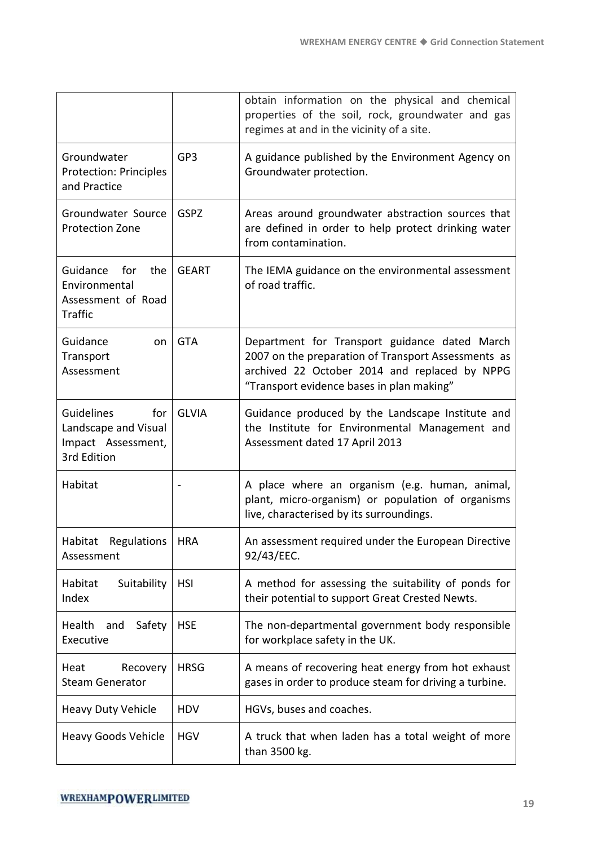|                                                                                       |              | obtain information on the physical and chemical<br>properties of the soil, rock, groundwater and gas<br>regimes at and in the vicinity of a site.                                                  |
|---------------------------------------------------------------------------------------|--------------|----------------------------------------------------------------------------------------------------------------------------------------------------------------------------------------------------|
| Groundwater<br><b>Protection: Principles</b><br>and Practice                          | GP3          | A guidance published by the Environment Agency on<br>Groundwater protection.                                                                                                                       |
| Groundwater Source<br><b>Protection Zone</b>                                          | <b>GSPZ</b>  | Areas around groundwater abstraction sources that<br>are defined in order to help protect drinking water<br>from contamination.                                                                    |
| Guidance<br>for<br>the<br>Environmental<br>Assessment of Road<br>Traffic              | <b>GEART</b> | The IEMA guidance on the environmental assessment<br>of road traffic.                                                                                                                              |
| Guidance<br>on.<br>Transport<br>Assessment                                            | <b>GTA</b>   | Department for Transport guidance dated March<br>2007 on the preparation of Transport Assessments as<br>archived 22 October 2014 and replaced by NPPG<br>"Transport evidence bases in plan making" |
| <b>Guidelines</b><br>for<br>Landscape and Visual<br>Impact Assessment,<br>3rd Edition | <b>GLVIA</b> | Guidance produced by the Landscape Institute and<br>the Institute for Environmental Management and<br>Assessment dated 17 April 2013                                                               |
| Habitat                                                                               |              | A place where an organism (e.g. human, animal,<br>plant, micro-organism) or population of organisms<br>live, characterised by its surroundings.                                                    |
| Habitat Regulations   HRA<br>Assessment                                               |              | An assessment required under the European Directive<br>92/43/EEC.                                                                                                                                  |
| Habitat<br>Suitability<br>Index                                                       | <b>HSI</b>   | A method for assessing the suitability of ponds for<br>their potential to support Great Crested Newts.                                                                                             |
| Health<br>Safety<br>and<br>Executive                                                  | <b>HSE</b>   | The non-departmental government body responsible<br>for workplace safety in the UK.                                                                                                                |
| Heat<br>Recovery<br><b>Steam Generator</b>                                            | <b>HRSG</b>  | A means of recovering heat energy from hot exhaust<br>gases in order to produce steam for driving a turbine.                                                                                       |
| Heavy Duty Vehicle                                                                    | <b>HDV</b>   | HGVs, buses and coaches.                                                                                                                                                                           |
| <b>Heavy Goods Vehicle</b>                                                            | <b>HGV</b>   | A truck that when laden has a total weight of more<br>than 3500 kg.                                                                                                                                |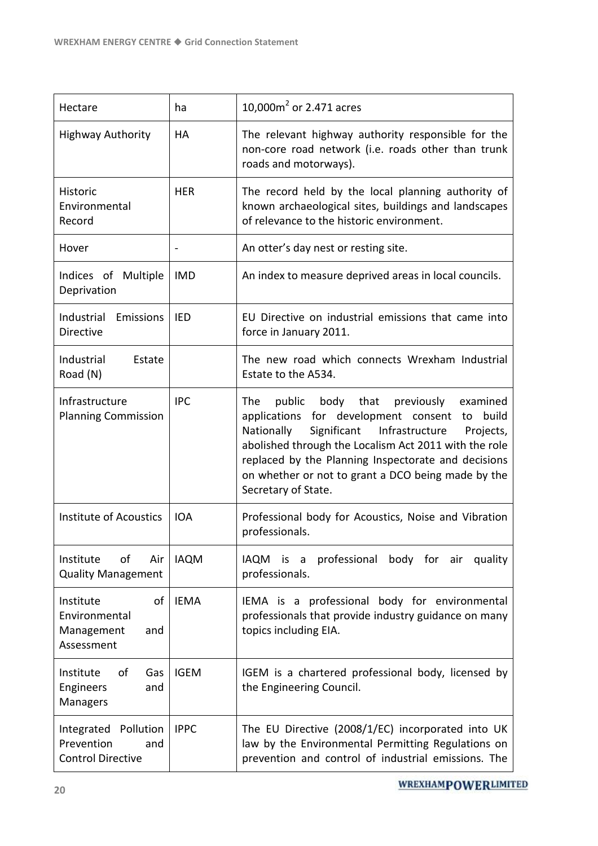| Hectare                                                                  | ha          | 10,000 $m2$ or 2.471 acres                                                                                                                                                                                                                                                                                                                                  |
|--------------------------------------------------------------------------|-------------|-------------------------------------------------------------------------------------------------------------------------------------------------------------------------------------------------------------------------------------------------------------------------------------------------------------------------------------------------------------|
| <b>Highway Authority</b>                                                 | HA          | The relevant highway authority responsible for the<br>non-core road network (i.e. roads other than trunk<br>roads and motorways).                                                                                                                                                                                                                           |
| <b>Historic</b><br>Environmental<br>Record                               | <b>HER</b>  | The record held by the local planning authority of<br>known archaeological sites, buildings and landscapes<br>of relevance to the historic environment.                                                                                                                                                                                                     |
| Hover                                                                    |             | An otter's day nest or resting site.                                                                                                                                                                                                                                                                                                                        |
| Indices of Multiple<br>Deprivation                                       | <b>IMD</b>  | An index to measure deprived areas in local councils.                                                                                                                                                                                                                                                                                                       |
| Industrial<br>Emissions<br><b>Directive</b>                              | <b>IED</b>  | EU Directive on industrial emissions that came into<br>force in January 2011.                                                                                                                                                                                                                                                                               |
| Industrial<br>Estate<br>Road (N)                                         |             | The new road which connects Wrexham Industrial<br>Estate to the A534.                                                                                                                                                                                                                                                                                       |
| Infrastructure<br><b>Planning Commission</b>                             | <b>IPC</b>  | public body that<br>previously<br>The<br>examined<br>applications for development consent to build<br>Nationally<br>Significant<br>Infrastructure<br>Projects,<br>abolished through the Localism Act 2011 with the role<br>replaced by the Planning Inspectorate and decisions<br>on whether or not to grant a DCO being made by the<br>Secretary of State. |
| <b>Institute of Acoustics</b>                                            | <b>IOA</b>  | Professional body for Acoustics, Noise and Vibration<br>professionals.                                                                                                                                                                                                                                                                                      |
| of<br>Institute<br>Air<br><b>Quality Management</b>                      | <b>IAQM</b> | professional body for air quality<br><b>IAQM</b><br>is is<br>$\overline{a}$<br>professionals.                                                                                                                                                                                                                                                               |
| Institute<br>οf<br>Environmental<br>Management<br>and<br>Assessment      | <b>IEMA</b> | IEMA is a professional body for environmental<br>professionals that provide industry guidance on many<br>topics including EIA.                                                                                                                                                                                                                              |
| οf<br>Institute<br>Gas<br>Engineers<br>and<br>Managers                   | <b>IGEM</b> | IGEM is a chartered professional body, licensed by<br>the Engineering Council.                                                                                                                                                                                                                                                                              |
| Integrated<br>Pollution<br>Prevention<br>and<br><b>Control Directive</b> | <b>IPPC</b> | The EU Directive (2008/1/EC) incorporated into UK<br>law by the Environmental Permitting Regulations on<br>prevention and control of industrial emissions. The                                                                                                                                                                                              |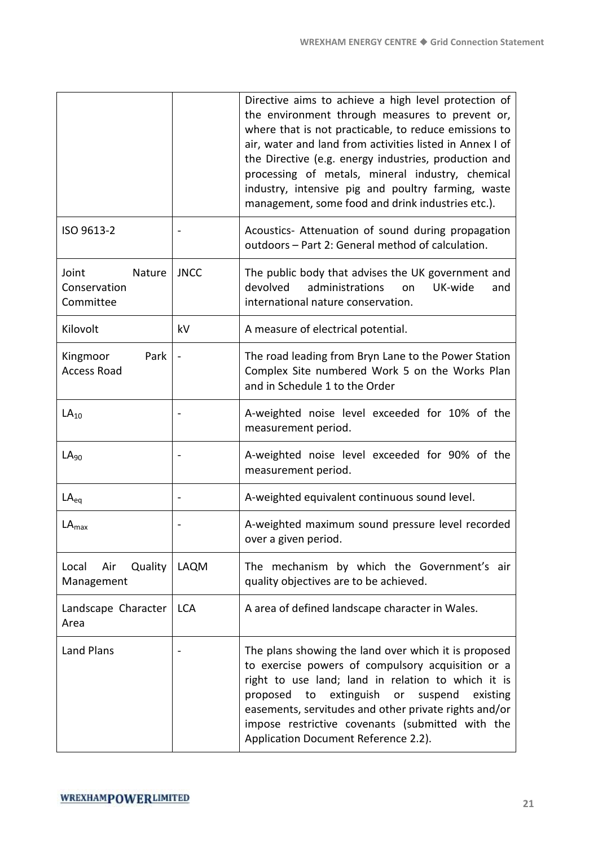|                                              |             | Directive aims to achieve a high level protection of<br>the environment through measures to prevent or,<br>where that is not practicable, to reduce emissions to<br>air, water and land from activities listed in Annex I of<br>the Directive (e.g. energy industries, production and<br>processing of metals, mineral industry, chemical<br>industry, intensive pig and poultry farming, waste<br>management, some food and drink industries etc.). |
|----------------------------------------------|-------------|------------------------------------------------------------------------------------------------------------------------------------------------------------------------------------------------------------------------------------------------------------------------------------------------------------------------------------------------------------------------------------------------------------------------------------------------------|
| ISO 9613-2                                   |             | Acoustics- Attenuation of sound during propagation<br>outdoors - Part 2: General method of calculation.                                                                                                                                                                                                                                                                                                                                              |
| Joint<br>Nature<br>Conservation<br>Committee | <b>JNCC</b> | The public body that advises the UK government and<br>devolved<br>administrations<br>UK-wide<br>on<br>and<br>international nature conservation.                                                                                                                                                                                                                                                                                                      |
| Kilovolt                                     | kV          | A measure of electrical potential.                                                                                                                                                                                                                                                                                                                                                                                                                   |
| Park<br>Kingmoor<br><b>Access Road</b>       |             | The road leading from Bryn Lane to the Power Station<br>Complex Site numbered Work 5 on the Works Plan<br>and in Schedule 1 to the Order                                                                                                                                                                                                                                                                                                             |
| $LA_{10}$                                    |             | A-weighted noise level exceeded for 10% of the<br>measurement period.                                                                                                                                                                                                                                                                                                                                                                                |
| $LA_{90}$                                    |             | A-weighted noise level exceeded for 90% of the<br>measurement period.                                                                                                                                                                                                                                                                                                                                                                                |
| $LA_{eq}$                                    |             | A-weighted equivalent continuous sound level.                                                                                                                                                                                                                                                                                                                                                                                                        |
| $LA_{max}$                                   |             | A-weighted maximum sound pressure level recorded<br>over a given period.                                                                                                                                                                                                                                                                                                                                                                             |
| Quality<br>Local<br>Air<br>Management        | LAQM        | The mechanism by which the Government's air<br>quality objectives are to be achieved.                                                                                                                                                                                                                                                                                                                                                                |
| Landscape Character<br>Area                  | <b>LCA</b>  | A area of defined landscape character in Wales.                                                                                                                                                                                                                                                                                                                                                                                                      |
| Land Plans                                   |             | The plans showing the land over which it is proposed<br>to exercise powers of compulsory acquisition or a<br>right to use land; land in relation to which it is<br>extinguish<br>proposed<br>to<br>suspend<br>existing<br>or<br>easements, servitudes and other private rights and/or<br>impose restrictive covenants (submitted with the<br>Application Document Reference 2.2).                                                                    |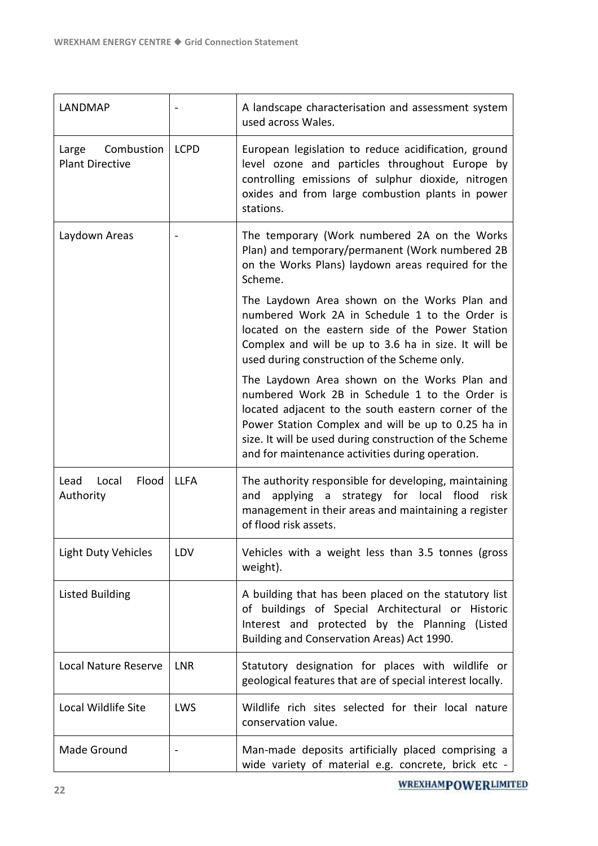| LANDMAP                                       |             | A landscape characterisation and assessment system<br>used across Wales.                                                                                                                                                                                                                                                   |
|-----------------------------------------------|-------------|----------------------------------------------------------------------------------------------------------------------------------------------------------------------------------------------------------------------------------------------------------------------------------------------------------------------------|
| Combustion<br>Large<br><b>Plant Directive</b> | <b>LCPD</b> | European legislation to reduce acidification, ground<br>level ozone and particles throughout Europe by<br>controlling emissions of sulphur dioxide, nitrogen<br>oxides and from large combustion plants in power<br>stations.                                                                                              |
| Laydown Areas                                 |             | The temporary (Work numbered 2A on the Works<br>Plan) and temporary/permanent (Work numbered 2B<br>on the Works Plans) laydown areas required for the<br>Scheme.                                                                                                                                                           |
|                                               |             | The Laydown Area shown on the Works Plan and<br>numbered Work 2A in Schedule 1 to the Order is<br>located on the eastern side of the Power Station<br>Complex and will be up to 3.6 ha in size. It will be<br>used during construction of the Scheme only.                                                                 |
|                                               |             | The Laydown Area shown on the Works Plan and<br>numbered Work 2B in Schedule 1 to the Order is<br>located adjacent to the south eastern corner of the<br>Power Station Complex and will be up to 0.25 ha in<br>size. It will be used during construction of the Scheme<br>and for maintenance activities during operation. |
| Flood<br>Lead<br>Local<br>Authority           | <b>LLFA</b> | The authority responsible for developing, maintaining<br>applying a strategy for local flood risk<br>and<br>management in their areas and maintaining a register<br>of flood risk assets.                                                                                                                                  |
| <b>Light Duty Vehicles</b>                    | LDV         | Vehicles with a weight less than 3.5 tonnes (gross<br>weight).                                                                                                                                                                                                                                                             |
| <b>Listed Building</b>                        |             | A building that has been placed on the statutory list<br>of buildings of Special Architectural or Historic<br>Interest and protected by the Planning (Listed<br>Building and Conservation Areas) Act 1990.                                                                                                                 |
| <b>Local Nature Reserve</b>                   | <b>LNR</b>  | Statutory designation for places with wildlife or<br>geological features that are of special interest locally.                                                                                                                                                                                                             |
| Local Wildlife Site                           | LWS         | Wildlife rich sites selected for their local nature<br>conservation value.                                                                                                                                                                                                                                                 |
| Made Ground                                   |             | Man-made deposits artificially placed comprising a<br>wide variety of material e.g. concrete, brick etc -                                                                                                                                                                                                                  |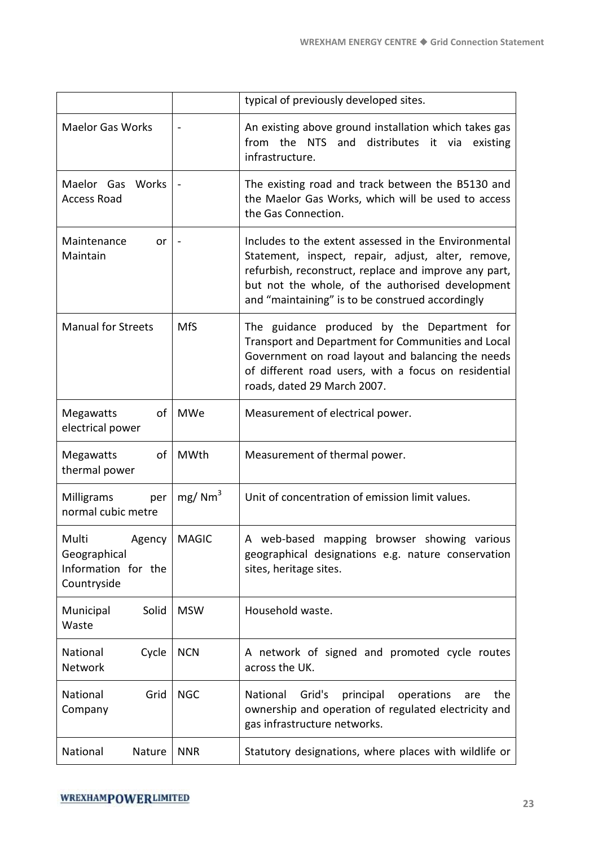|                                                                       |                    | typical of previously developed sites.                                                                                                                                                                                                                                      |
|-----------------------------------------------------------------------|--------------------|-----------------------------------------------------------------------------------------------------------------------------------------------------------------------------------------------------------------------------------------------------------------------------|
| <b>Maelor Gas Works</b>                                               |                    | An existing above ground installation which takes gas<br><b>NTS</b><br>and<br>distributes it via<br>from the<br>existing<br>infrastructure.                                                                                                                                 |
| Maelor Gas<br>Works<br><b>Access Road</b>                             |                    | The existing road and track between the B5130 and<br>the Maelor Gas Works, which will be used to access<br>the Gas Connection.                                                                                                                                              |
| Maintenance<br>or<br>Maintain                                         |                    | Includes to the extent assessed in the Environmental<br>Statement, inspect, repair, adjust, alter, remove,<br>refurbish, reconstruct, replace and improve any part,<br>but not the whole, of the authorised development<br>and "maintaining" is to be construed accordingly |
| <b>Manual for Streets</b>                                             | <b>MfS</b>         | The guidance produced by the Department for<br>Transport and Department for Communities and Local<br>Government on road layout and balancing the needs<br>of different road users, with a focus on residential<br>roads, dated 29 March 2007.                               |
| Megawatts<br>of<br>electrical power                                   | <b>MWe</b>         | Measurement of electrical power.                                                                                                                                                                                                                                            |
| Megawatts<br>of<br>thermal power                                      | MWth               | Measurement of thermal power.                                                                                                                                                                                                                                               |
| Milligrams<br>per<br>normal cubic metre                               | mg/Mm <sup>3</sup> | Unit of concentration of emission limit values.                                                                                                                                                                                                                             |
| Multi<br>Agency<br>Geographical<br>Information for the<br>Countryside | <b>MAGIC</b>       | A web-based<br>mapping browser showing various<br>geographical designations e.g. nature conservation<br>sites, heritage sites.                                                                                                                                              |
| Solid<br>Municipal<br>Waste                                           | <b>MSW</b>         | Household waste.                                                                                                                                                                                                                                                            |
| National<br>Cycle<br>Network                                          | <b>NCN</b>         | A network of signed and promoted cycle routes<br>across the UK.                                                                                                                                                                                                             |
| National<br>Grid<br>Company                                           | <b>NGC</b>         | National<br>Grid's<br>principal<br>operations<br>the<br>are<br>ownership and operation of regulated electricity and<br>gas infrastructure networks.                                                                                                                         |
| National<br>Nature                                                    | <b>NNR</b>         | Statutory designations, where places with wildlife or                                                                                                                                                                                                                       |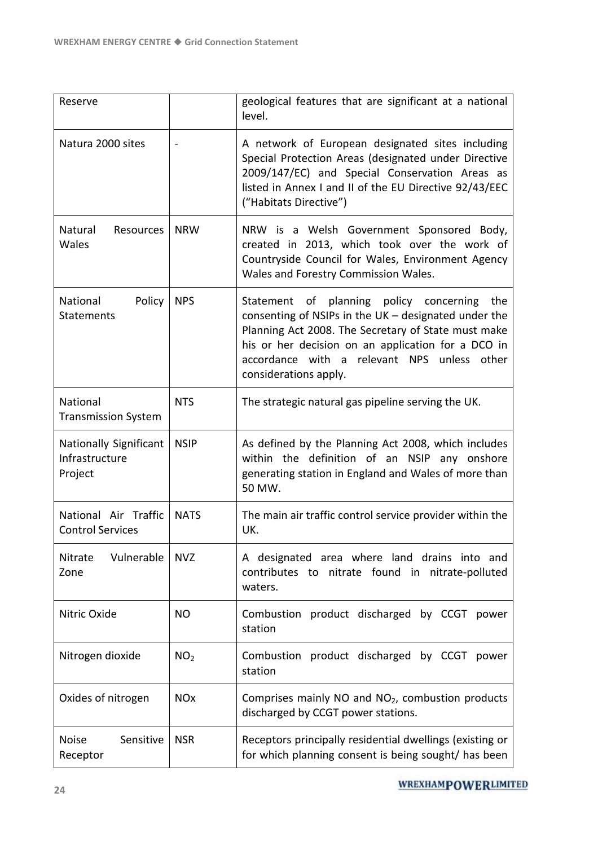| Reserve                                                    |                       | geological features that are significant at a national<br>level.                                                                                                                                                                                                                                        |
|------------------------------------------------------------|-----------------------|---------------------------------------------------------------------------------------------------------------------------------------------------------------------------------------------------------------------------------------------------------------------------------------------------------|
| Natura 2000 sites                                          |                       | A network of European designated sites including<br>Special Protection Areas (designated under Directive<br>2009/147/EC) and Special Conservation Areas as<br>listed in Annex I and II of the EU Directive 92/43/EEC<br>("Habitats Directive")                                                          |
| Natural<br>Resources<br>Wales                              | <b>NRW</b>            | NRW is a Welsh Government Sponsored Body,<br>created in 2013, which took over the work of<br>Countryside Council for Wales, Environment Agency<br>Wales and Forestry Commission Wales.                                                                                                                  |
| National<br>Policy<br><b>Statements</b>                    | <b>NPS</b>            | Statement of planning policy concerning the<br>consenting of NSIPs in the $UK -$ designated under the<br>Planning Act 2008. The Secretary of State must make<br>his or her decision on an application for a DCO in<br>accordance with a relevant<br><b>NPS</b><br>unless other<br>considerations apply. |
| National<br><b>Transmission System</b>                     | <b>NTS</b>            | The strategic natural gas pipeline serving the UK.                                                                                                                                                                                                                                                      |
| <b>Nationally Significant</b><br>Infrastructure<br>Project | <b>NSIP</b>           | As defined by the Planning Act 2008, which includes<br>within the definition of an NSIP any onshore<br>generating station in England and Wales of more than<br>50 MW.                                                                                                                                   |
| National Air Traffic<br><b>Control Services</b>            | <b>NATS</b>           | The main air traffic control service provider within the<br>UK.                                                                                                                                                                                                                                         |
| Vulnerable<br>Nitrate<br>Zone                              | <b>NVZ</b>            | A designated area where land drains into and<br>contributes to nitrate found in nitrate-polluted<br>waters.                                                                                                                                                                                             |
| Nitric Oxide                                               | <b>NO</b>             | Combustion product discharged by CCGT<br>power<br>station                                                                                                                                                                                                                                               |
| Nitrogen dioxide                                           | NO <sub>2</sub>       | Combustion product discharged by CCGT<br>power<br>station                                                                                                                                                                                                                                               |
| Oxides of nitrogen                                         | <b>NO<sub>x</sub></b> | Comprises mainly NO and NO <sub>2</sub> , combustion products<br>discharged by CCGT power stations.                                                                                                                                                                                                     |
| Sensitive<br><b>Noise</b><br>Receptor                      | <b>NSR</b>            | Receptors principally residential dwellings (existing or<br>for which planning consent is being sought/ has been                                                                                                                                                                                        |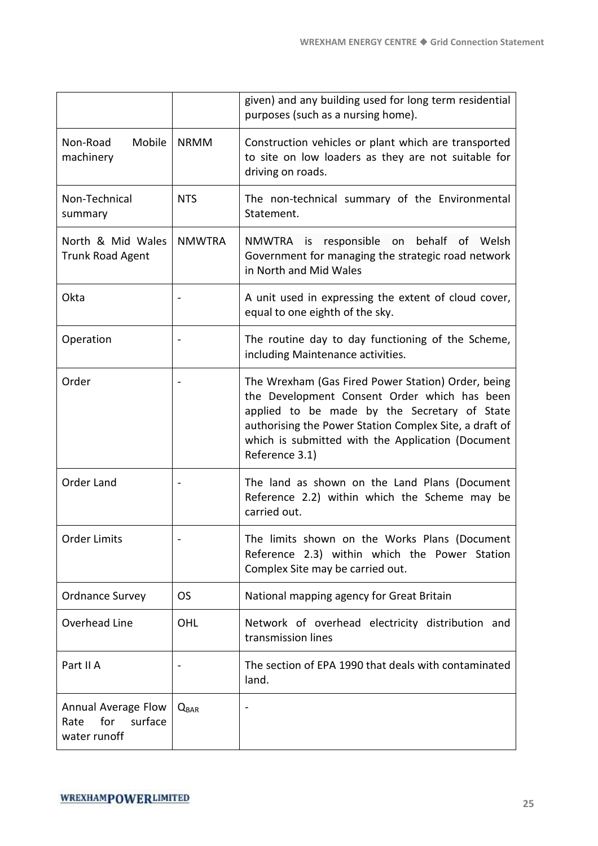|                                                               |                  | given) and any building used for long term residential<br>purposes (such as a nursing home).                                                                                                                                                                                        |
|---------------------------------------------------------------|------------------|-------------------------------------------------------------------------------------------------------------------------------------------------------------------------------------------------------------------------------------------------------------------------------------|
| Mobile<br>Non-Road<br>machinery                               | <b>NRMM</b>      | Construction vehicles or plant which are transported<br>to site on low loaders as they are not suitable for<br>driving on roads.                                                                                                                                                    |
| Non-Technical<br>summary                                      | <b>NTS</b>       | The non-technical summary of the Environmental<br>Statement.                                                                                                                                                                                                                        |
| North & Mid Wales<br><b>Trunk Road Agent</b>                  | <b>NMWTRA</b>    | NMWTRA is responsible on behalf<br>Welsh<br>οf<br>Government for managing the strategic road network<br>in North and Mid Wales                                                                                                                                                      |
| Okta                                                          |                  | A unit used in expressing the extent of cloud cover,<br>equal to one eighth of the sky.                                                                                                                                                                                             |
| Operation                                                     |                  | The routine day to day functioning of the Scheme,<br>including Maintenance activities.                                                                                                                                                                                              |
| Order                                                         |                  | The Wrexham (Gas Fired Power Station) Order, being<br>the Development Consent Order which has been<br>applied to be made by the Secretary of State<br>authorising the Power Station Complex Site, a draft of<br>which is submitted with the Application (Document<br>Reference 3.1) |
| Order Land                                                    |                  | The land as shown on the Land Plans (Document<br>Reference 2.2) within which the Scheme may be<br>carried out.                                                                                                                                                                      |
| <b>Order Limits</b>                                           |                  | The limits shown on the Works Plans (Document<br>Reference 2.3) within which the Power Station<br>Complex Site may be carried out.                                                                                                                                                  |
| <b>Ordnance Survey</b>                                        | <b>OS</b>        | National mapping agency for Great Britain                                                                                                                                                                                                                                           |
| Overhead Line                                                 | OHL              | Network of overhead electricity distribution and<br>transmission lines                                                                                                                                                                                                              |
| Part II A                                                     |                  | The section of EPA 1990 that deals with contaminated<br>land.                                                                                                                                                                                                                       |
| Annual Average Flow<br>for<br>surface<br>Rate<br>water runoff | $Q_{\text{BAR}}$ |                                                                                                                                                                                                                                                                                     |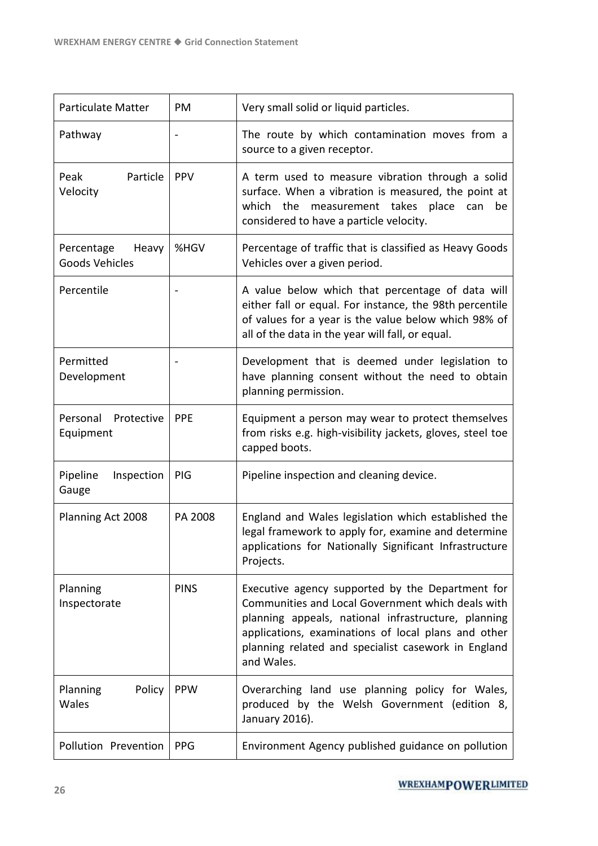| Particulate Matter                           | PM          | Very small solid or liquid particles.                                                                                                                                                                                                                                                    |
|----------------------------------------------|-------------|------------------------------------------------------------------------------------------------------------------------------------------------------------------------------------------------------------------------------------------------------------------------------------------|
| Pathway                                      |             | The route by which contamination moves from a<br>source to a given receptor.                                                                                                                                                                                                             |
| Peak<br>Particle<br>Velocity                 | <b>PPV</b>  | A term used to measure vibration through a solid<br>surface. When a vibration is measured, the point at<br>which the measurement takes place can<br>be<br>considered to have a particle velocity.                                                                                        |
| Heavy<br>Percentage<br><b>Goods Vehicles</b> | %HGV        | Percentage of traffic that is classified as Heavy Goods<br>Vehicles over a given period.                                                                                                                                                                                                 |
| Percentile                                   |             | A value below which that percentage of data will<br>either fall or equal. For instance, the 98th percentile<br>of values for a year is the value below which 98% of<br>all of the data in the year will fall, or equal.                                                                  |
| Permitted<br>Development                     |             | Development that is deemed under legislation to<br>have planning consent without the need to obtain<br>planning permission.                                                                                                                                                              |
| Personal<br>Protective<br>Equipment          | PPE         | Equipment a person may wear to protect themselves<br>from risks e.g. high-visibility jackets, gloves, steel toe<br>capped boots.                                                                                                                                                         |
| Pipeline<br>Inspection<br>Gauge              | PIG         | Pipeline inspection and cleaning device.                                                                                                                                                                                                                                                 |
| Planning Act 2008                            | PA 2008     | England and Wales legislation which established the<br>legal framework to apply for, examine and determine<br>applications for Nationally Significant Infrastructure<br>Projects.                                                                                                        |
| Planning<br>Inspectorate                     | <b>PINS</b> | Executive agency supported by the Department for<br>Communities and Local Government which deals with<br>planning appeals, national infrastructure, planning<br>applications, examinations of local plans and other<br>planning related and specialist casework in England<br>and Wales. |
| Policy<br>Planning<br>Wales                  | <b>PPW</b>  | Overarching land use planning policy for Wales,<br>produced by the Welsh Government (edition 8,<br>January 2016).                                                                                                                                                                        |
| Pollution Prevention                         | <b>PPG</b>  | Environment Agency published guidance on pollution                                                                                                                                                                                                                                       |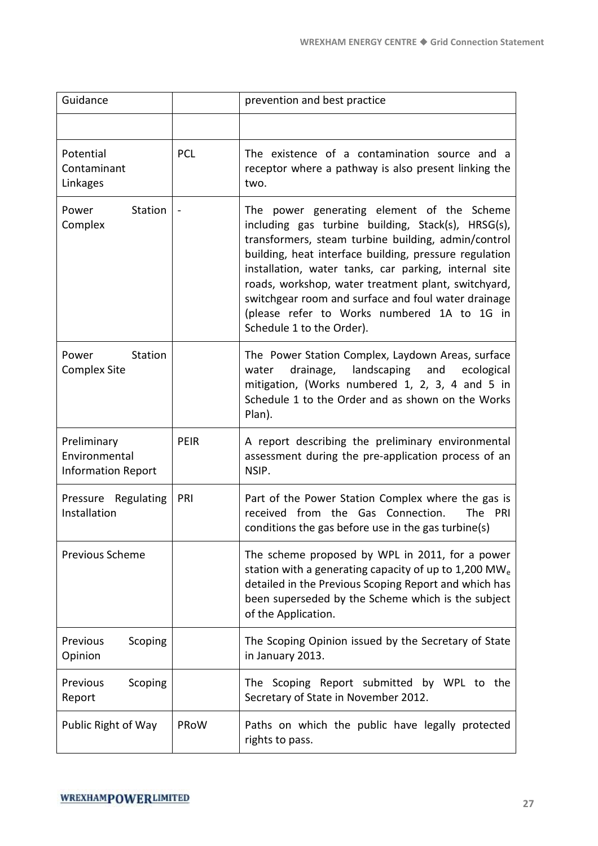| Guidance                                                  |             | prevention and best practice                                                                                                                                                                                                                                                                                                                                                                                                                                         |
|-----------------------------------------------------------|-------------|----------------------------------------------------------------------------------------------------------------------------------------------------------------------------------------------------------------------------------------------------------------------------------------------------------------------------------------------------------------------------------------------------------------------------------------------------------------------|
|                                                           |             |                                                                                                                                                                                                                                                                                                                                                                                                                                                                      |
| Potential<br>Contaminant<br>Linkages                      | <b>PCL</b>  | The existence of a contamination source and a<br>receptor where a pathway is also present linking the<br>two.                                                                                                                                                                                                                                                                                                                                                        |
| <b>Station</b><br>Power<br>Complex                        |             | The power generating element of the Scheme<br>including gas turbine building, Stack(s), HRSG(s),<br>transformers, steam turbine building, admin/control<br>building, heat interface building, pressure regulation<br>installation, water tanks, car parking, internal site<br>roads, workshop, water treatment plant, switchyard,<br>switchgear room and surface and foul water drainage<br>(please refer to Works numbered 1A to 1G in<br>Schedule 1 to the Order). |
| Station<br>Power<br><b>Complex Site</b>                   |             | The Power Station Complex, Laydown Areas, surface<br>drainage,<br>landscaping<br>and<br>ecological<br>water<br>mitigation, (Works numbered 1, 2, 3, 4 and 5 in<br>Schedule 1 to the Order and as shown on the Works<br>Plan).                                                                                                                                                                                                                                        |
| Preliminary<br>Environmental<br><b>Information Report</b> | <b>PEIR</b> | A report describing the preliminary environmental<br>assessment during the pre-application process of an<br>NSIP.                                                                                                                                                                                                                                                                                                                                                    |
| Pressure Regulating<br>Installation                       | PRI         | Part of the Power Station Complex where the gas is<br>received from the Gas Connection.<br>The PRI<br>conditions the gas before use in the gas turbine(s)                                                                                                                                                                                                                                                                                                            |
| Previous Scheme                                           |             | The scheme proposed by WPL in 2011, for a power<br>station with a generating capacity of up to 1,200 MW <sub>e</sub><br>detailed in the Previous Scoping Report and which has<br>been superseded by the Scheme which is the subject<br>of the Application.                                                                                                                                                                                                           |
| Scoping<br>Previous<br>Opinion                            |             | The Scoping Opinion issued by the Secretary of State<br>in January 2013.                                                                                                                                                                                                                                                                                                                                                                                             |
| Scoping<br>Previous<br>Report                             |             | The Scoping Report submitted by WPL to the<br>Secretary of State in November 2012.                                                                                                                                                                                                                                                                                                                                                                                   |
| Public Right of Way                                       | PRoW        | Paths on which the public have legally protected<br>rights to pass.                                                                                                                                                                                                                                                                                                                                                                                                  |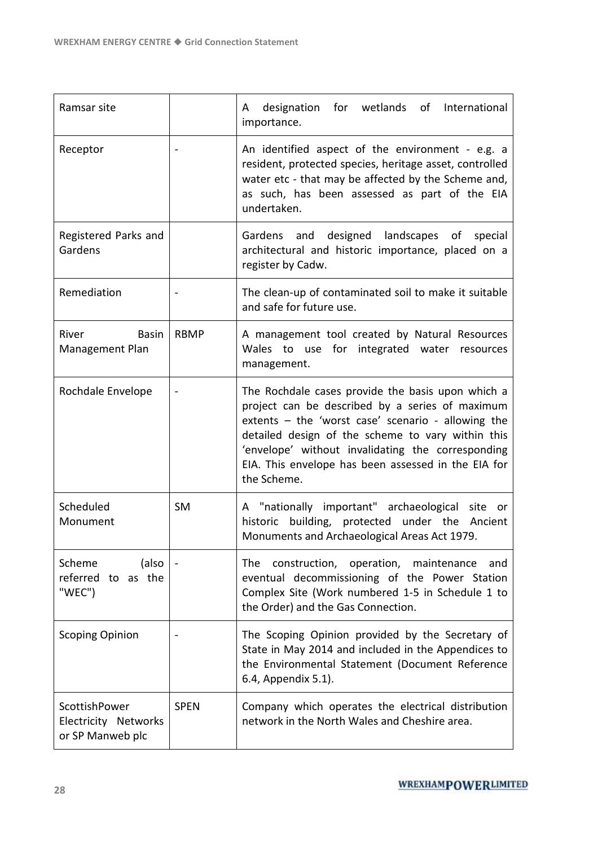| Ramsar site                                               |                | for wetlands of<br>designation<br>International<br>A<br>importance.                                                                                                                                                                                                                                                                        |
|-----------------------------------------------------------|----------------|--------------------------------------------------------------------------------------------------------------------------------------------------------------------------------------------------------------------------------------------------------------------------------------------------------------------------------------------|
| Receptor                                                  |                | An identified aspect of the environment - e.g. a<br>resident, protected species, heritage asset, controlled<br>water etc - that may be affected by the Scheme and,<br>as such, has been assessed as part of the EIA<br>undertaken.                                                                                                         |
| Registered Parks and<br>Gardens                           |                | designed landscapes of special<br>Gardens and<br>architectural and historic importance, placed on a<br>register by Cadw.                                                                                                                                                                                                                   |
| Remediation                                               |                | The clean-up of contaminated soil to make it suitable<br>and safe for future use.                                                                                                                                                                                                                                                          |
| River<br><b>Basin</b><br>Management Plan                  | <b>RBMP</b>    | A management tool created by Natural Resources<br>Wales to use for integrated water resources<br>management.                                                                                                                                                                                                                               |
| Rochdale Envelope                                         | $\blacksquare$ | The Rochdale cases provide the basis upon which a<br>project can be described by a series of maximum<br>extents - the 'worst case' scenario - allowing the<br>detailed design of the scheme to vary within this<br>'envelope' without invalidating the corresponding<br>EIA. This envelope has been assessed in the EIA for<br>the Scheme. |
| Scheduled<br>Monument                                     | <b>SM</b>      | A "nationally important" archaeological site or<br>building, protected under the<br>historic<br>Ancient<br>Monuments and Archaeological Areas Act 1979.                                                                                                                                                                                    |
| Scheme<br>(also<br>referred to as the<br>"WEC")           |                | construction, operation, maintenance<br>The<br>and<br>eventual decommissioning of the Power Station<br>Complex Site (Work numbered 1-5 in Schedule 1 to<br>the Order) and the Gas Connection.                                                                                                                                              |
| <b>Scoping Opinion</b>                                    |                | The Scoping Opinion provided by the Secretary of<br>State in May 2014 and included in the Appendices to<br>the Environmental Statement (Document Reference<br>6.4, Appendix 5.1).                                                                                                                                                          |
| ScottishPower<br>Electricity Networks<br>or SP Manweb plc | <b>SPEN</b>    | Company which operates the electrical distribution<br>network in the North Wales and Cheshire area.                                                                                                                                                                                                                                        |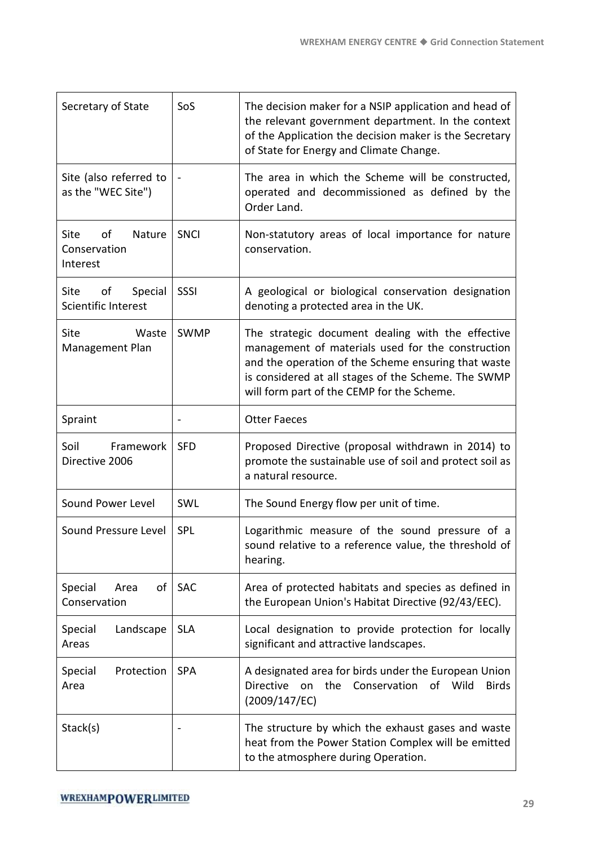| Secretary of State                                      | SoS         | The decision maker for a NSIP application and head of<br>the relevant government department. In the context<br>of the Application the decision maker is the Secretary<br>of State for Energy and Climate Change.                                                   |
|---------------------------------------------------------|-------------|--------------------------------------------------------------------------------------------------------------------------------------------------------------------------------------------------------------------------------------------------------------------|
| Site (also referred to<br>as the "WEC Site")            |             | The area in which the Scheme will be constructed,<br>operated and decommissioned as defined by the<br>Order Land.                                                                                                                                                  |
| <b>Site</b><br>of<br>Nature<br>Conservation<br>Interest | SNCI        | Non-statutory areas of local importance for nature<br>conservation.                                                                                                                                                                                                |
| Site<br>Special<br>of<br>Scientific Interest            | SSSI        | A geological or biological conservation designation<br>denoting a protected area in the UK.                                                                                                                                                                        |
| <b>Site</b><br>Waste<br>Management Plan                 | <b>SWMP</b> | The strategic document dealing with the effective<br>management of materials used for the construction<br>and the operation of the Scheme ensuring that waste<br>is considered at all stages of the Scheme. The SWMP<br>will form part of the CEMP for the Scheme. |
| Spraint                                                 |             | <b>Otter Faeces</b>                                                                                                                                                                                                                                                |
| Soil<br>Framework<br>Directive 2006                     | <b>SFD</b>  | Proposed Directive (proposal withdrawn in 2014) to<br>promote the sustainable use of soil and protect soil as<br>a natural resource.                                                                                                                               |
| Sound Power Level                                       | SWL         | The Sound Energy flow per unit of time.                                                                                                                                                                                                                            |
| Sound Pressure Level                                    | <b>SPL</b>  | Logarithmic measure of the sound pressure of a<br>sound relative to a reference value, the threshold of<br>hearing.                                                                                                                                                |
| of I<br>Special<br>Area<br>Conservation                 | <b>SAC</b>  | Area of protected habitats and species as defined in<br>the European Union's Habitat Directive (92/43/EEC).                                                                                                                                                        |
| Special<br>Landscape<br>Areas                           | <b>SLA</b>  | Local designation to provide protection for locally<br>significant and attractive landscapes.                                                                                                                                                                      |
| Protection<br>Special<br>Area                           | <b>SPA</b>  | A designated area for birds under the European Union<br><b>Directive</b><br>Conservation<br>the<br>of Wild<br>on<br><b>Birds</b><br>(2009/147/EC)                                                                                                                  |
| Stack(s)                                                |             | The structure by which the exhaust gases and waste<br>heat from the Power Station Complex will be emitted<br>to the atmosphere during Operation.                                                                                                                   |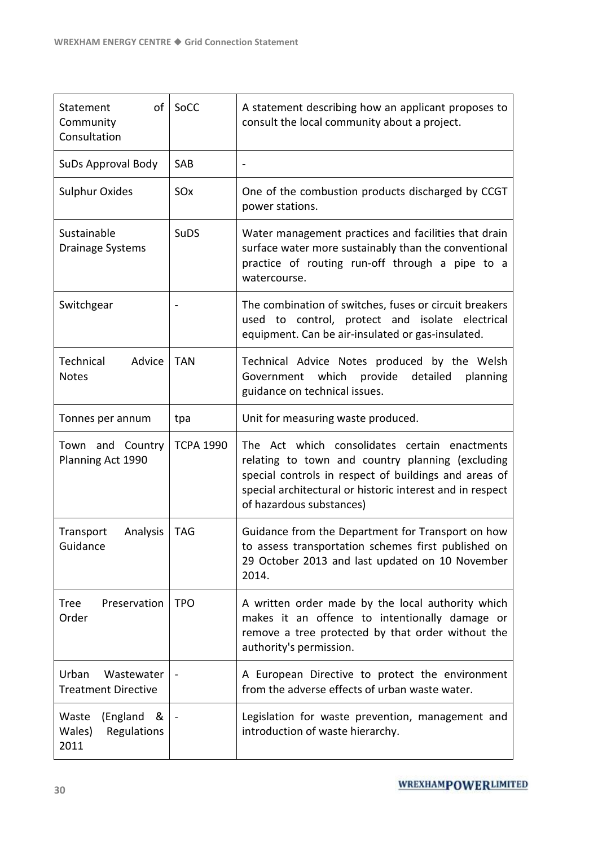| of<br>Statement<br>Community<br>Consultation            | SoCC             | A statement describing how an applicant proposes to<br>consult the local community about a project.                                                                                                                                                 |
|---------------------------------------------------------|------------------|-----------------------------------------------------------------------------------------------------------------------------------------------------------------------------------------------------------------------------------------------------|
| SuDs Approval Body                                      | <b>SAB</b>       |                                                                                                                                                                                                                                                     |
| <b>Sulphur Oxides</b>                                   | SOx              | One of the combustion products discharged by CCGT<br>power stations.                                                                                                                                                                                |
| Sustainable<br>Drainage Systems                         | <b>SuDS</b>      | Water management practices and facilities that drain<br>surface water more sustainably than the conventional<br>practice of routing run-off through a pipe to a<br>watercourse.                                                                     |
| Switchgear                                              |                  | The combination of switches, fuses or circuit breakers<br>used to control, protect and isolate electrical<br>equipment. Can be air-insulated or gas-insulated.                                                                                      |
| Advice<br>Technical<br><b>Notes</b>                     | <b>TAN</b>       | Technical Advice Notes produced by the Welsh<br>Government which<br>provide<br>detailed<br>planning<br>guidance on technical issues.                                                                                                                |
| Tonnes per annum                                        | tpa              | Unit for measuring waste produced.                                                                                                                                                                                                                  |
| Town and Country<br>Planning Act 1990                   | <b>TCPA 1990</b> | The Act which consolidates certain enactments<br>relating to town and country planning (excluding<br>special controls in respect of buildings and areas of<br>special architectural or historic interest and in respect<br>of hazardous substances) |
| Analysis<br>Transport<br>Guidance                       | <b>TAG</b>       | Guidance from the Department for Transport on how<br>to assess transportation schemes first published on<br>29 October 2013 and last updated on 10 November<br>2014.                                                                                |
| Preservation<br><b>Tree</b><br>Order                    | <b>TPO</b>       | A written order made by the local authority which<br>makes it an offence to intentionally damage or<br>remove a tree protected by that order without the<br>authority's permission.                                                                 |
| Urban<br>Wastewater<br><b>Treatment Directive</b>       |                  | A European Directive to protect the environment<br>from the adverse effects of urban waste water.                                                                                                                                                   |
| (England<br>Waste<br>&<br>Regulations<br>Wales)<br>2011 |                  | Legislation for waste prevention, management and<br>introduction of waste hierarchy.                                                                                                                                                                |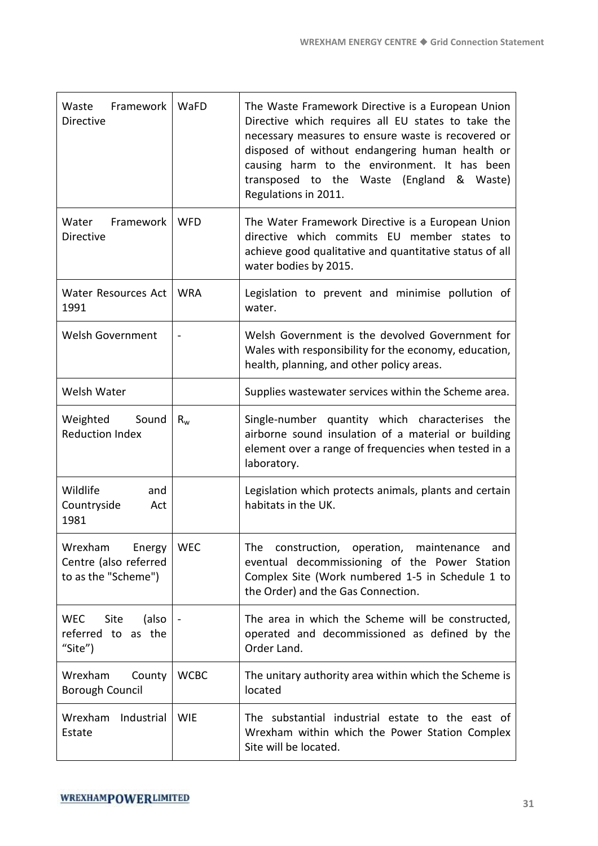| Waste Framework   WaFD<br><b>Directive</b>                     |             | The Waste Framework Directive is a European Union<br>Directive which requires all EU states to take the<br>necessary measures to ensure waste is recovered or<br>disposed of without endangering human health or<br>causing harm to the environment. It has been<br>transposed to the Waste<br>(England & Waste)<br>Regulations in 2011. |
|----------------------------------------------------------------|-------------|------------------------------------------------------------------------------------------------------------------------------------------------------------------------------------------------------------------------------------------------------------------------------------------------------------------------------------------|
| Water<br>Framework<br><b>Directive</b>                         | <b>WFD</b>  | The Water Framework Directive is a European Union<br>directive which commits EU member states to<br>achieve good qualitative and quantitative status of all<br>water bodies by 2015.                                                                                                                                                     |
| Water Resources Act<br>1991                                    | <b>WRA</b>  | Legislation to prevent and minimise pollution of<br>water.                                                                                                                                                                                                                                                                               |
| <b>Welsh Government</b>                                        |             | Welsh Government is the devolved Government for<br>Wales with responsibility for the economy, education,<br>health, planning, and other policy areas.                                                                                                                                                                                    |
| Welsh Water                                                    |             | Supplies wastewater services within the Scheme area.                                                                                                                                                                                                                                                                                     |
| Weighted<br>Sound<br><b>Reduction Index</b>                    | $R_{w}$     | Single-number quantity which characterises the<br>airborne sound insulation of a material or building<br>element over a range of frequencies when tested in a<br>laboratory.                                                                                                                                                             |
| Wildlife<br>and<br>Countryside<br>Act<br>1981                  |             | Legislation which protects animals, plants and certain<br>habitats in the UK.                                                                                                                                                                                                                                                            |
| Wrexham Energy<br>Centre (also referred<br>to as the "Scheme") | <b>WEC</b>  | The construction, operation, maintenance and<br>eventual decommissioning of the Power Station<br>Complex Site (Work numbered 1-5 in Schedule 1 to<br>the Order) and the Gas Connection.                                                                                                                                                  |
| <b>WEC</b><br>Site<br>(also<br>referred to as the<br>"Site")   |             | The area in which the Scheme will be constructed,<br>operated and decommissioned as defined by the<br>Order Land.                                                                                                                                                                                                                        |
| Wrexham<br>County<br><b>Borough Council</b>                    | <b>WCBC</b> | The unitary authority area within which the Scheme is<br>located                                                                                                                                                                                                                                                                         |
| Wrexham<br>Industrial<br>Estate                                | <b>WIE</b>  | The substantial industrial estate to the east of<br>Wrexham within which the Power Station Complex<br>Site will be located.                                                                                                                                                                                                              |